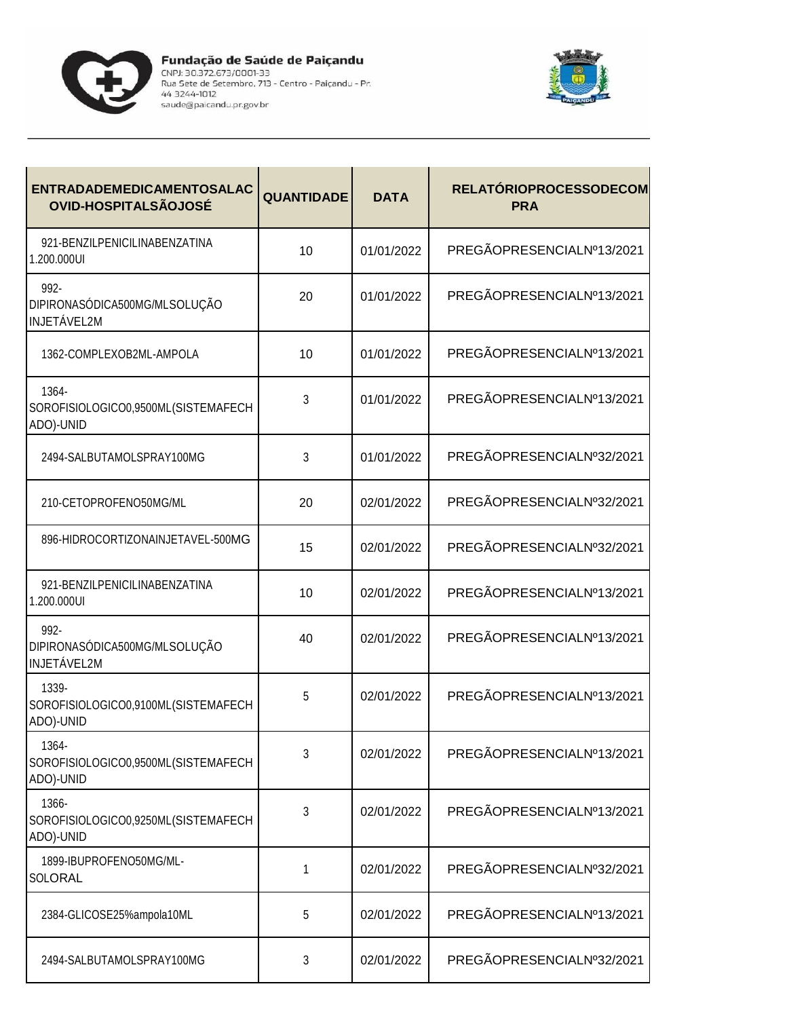



| <b>ENTRADADEMEDICAMENTOSALAC</b><br><b>OVID-HOSPITALSÃOJOSÉ</b> | <b>QUANTIDADE</b> | <b>DATA</b> | <b>RELATÓRIOPROCESSODECOM</b><br><b>PRA</b> |
|-----------------------------------------------------------------|-------------------|-------------|---------------------------------------------|
| 921-BENZILPENICILINABENZATINA<br>1.200.000UI                    | 10                | 01/01/2022  | PREGÃOPRESENCIALNº13/2021                   |
| $992 -$<br>DIPIRONASÓDICA500MG/MLSOLUÇÃO<br><b>INJETÁVEL2M</b>  | 20                | 01/01/2022  | PREGÃOPRESENCIALNº13/2021                   |
| 1362-COMPLEXOB2ML-AMPOLA                                        | 10                | 01/01/2022  | PREGÃOPRESENCIALNº13/2021                   |
| 1364-<br>SOROFISIOLOGICO0,9500ML(SISTEMAFECH<br>ADO)-UNID       | 3                 | 01/01/2022  | PREGÃOPRESENCIALNº13/2021                   |
| 2494-SALBUTAMOLSPRAY100MG                                       | 3                 | 01/01/2022  | PREGÃOPRESENCIALNº32/2021                   |
| 210-CETOPROFENO50MG/ML                                          | 20                | 02/01/2022  | PREGÃOPRESENCIALNº32/2021                   |
| 896-HIDROCORTIZONAINJETAVEL-500MG                               | 15                | 02/01/2022  | PREGÃOPRESENCIALNº32/2021                   |
| 921-BENZILPENICILINABENZATINA<br>1.200.000UI                    | 10                | 02/01/2022  | PREGÃOPRESENCIALNº13/2021                   |
| 992-<br>DIPIRONASÓDICA500MG/MLSOLUÇÃO<br><b>INJETÁVEL2M</b>     | 40                | 02/01/2022  | PREGÃOPRESENCIALNº13/2021                   |
| 1339-<br>SOROFISIOLOGICO0,9100ML(SISTEMAFECH<br>ADO)-UNID       | 5                 | 02/01/2022  | PREGÃOPRESENCIALNº13/2021                   |
| 1364-<br>SOROFISIOLOGICO0,9500ML(SISTEMAFECH<br>ADO)-UNID       | 3                 | 02/01/2022  | PREGÃOPRESENCIALNº13/2021                   |
| 1366-<br>SOROFISIOLOGICO0,9250ML(SISTEMAFECH<br>ADO)-UNID       | 3                 | 02/01/2022  | PREGÃOPRESENCIALNº13/2021                   |
| 1899-IBUPROFENO50MG/ML-<br>SOLORAL                              | 1                 | 02/01/2022  | PREGÃOPRESENCIALNº32/2021                   |
| 2384-GLICOSE25%ampola10ML                                       | 5                 | 02/01/2022  | PREGÃOPRESENCIALNº13/2021                   |
| 2494-SALBUTAMOLSPRAY100MG                                       | 3                 | 02/01/2022  | PREGÃOPRESENCIALNº32/2021                   |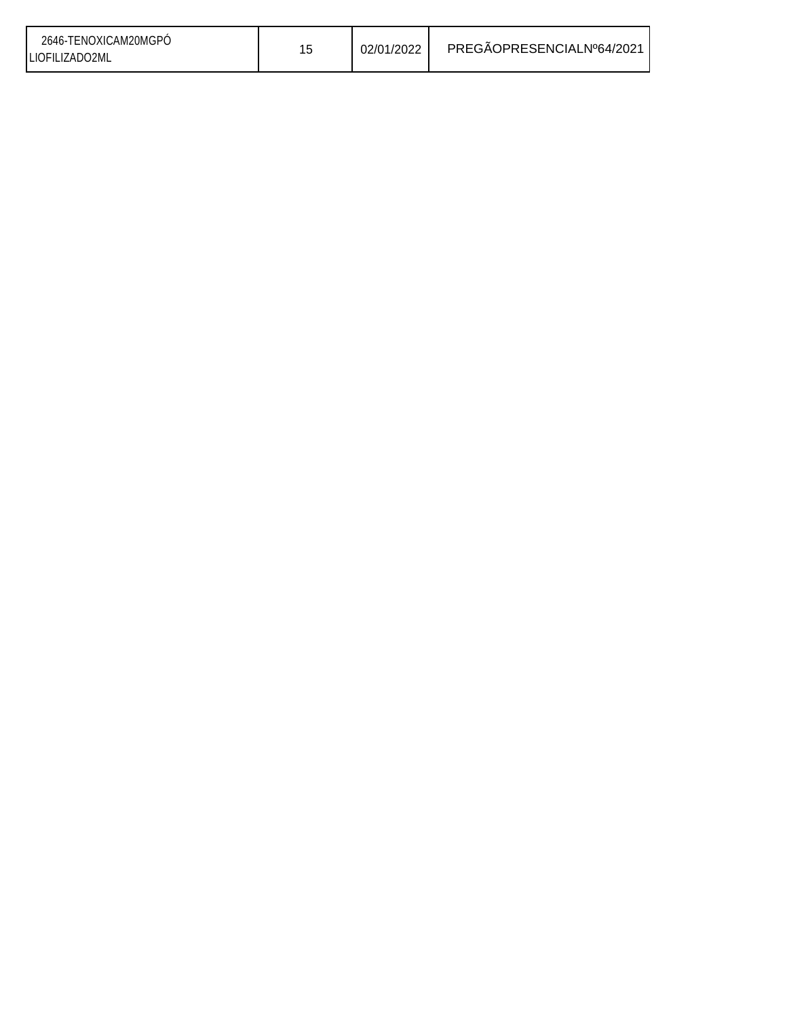| 2646-TENOXICAM20MGPO<br>02/01/2022<br>LIOFILIZADO2ML | PREGAOPRESENCIALNº64/2021 |
|------------------------------------------------------|---------------------------|
|------------------------------------------------------|---------------------------|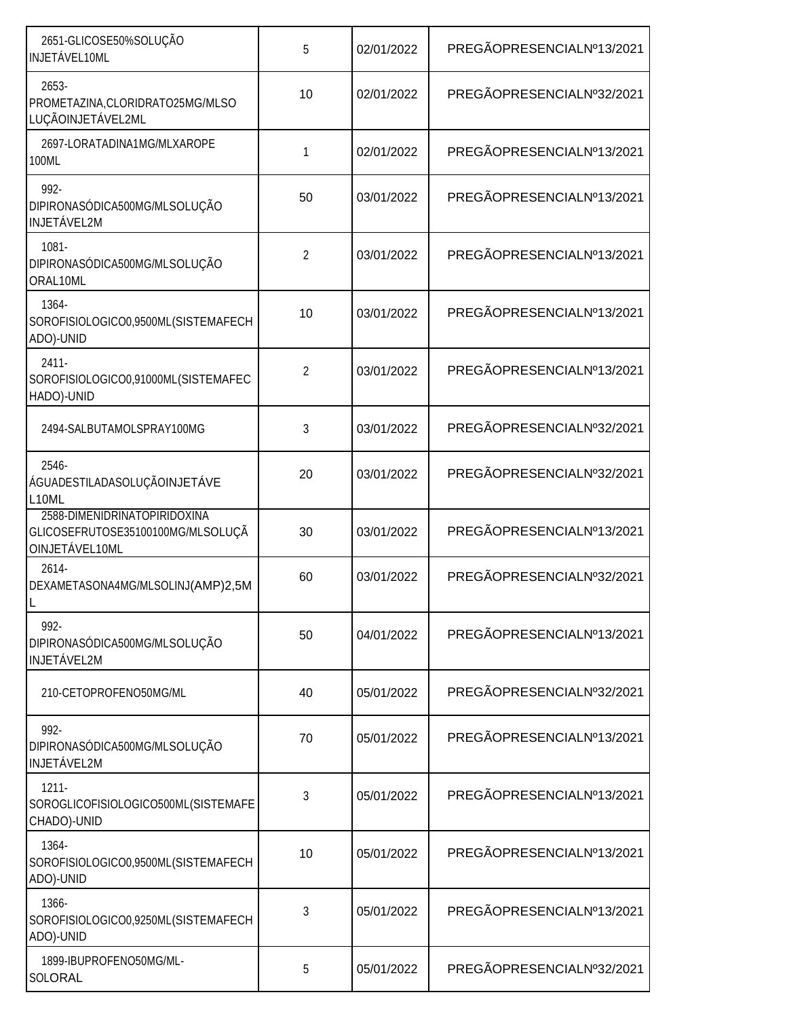| 2651-GLICOSE50%SOLUÇÃO<br>INJETÁVEL10ML                                             | 5              | 02/01/2022 | PREGÃOPRESENCIALNº13/2021 |
|-------------------------------------------------------------------------------------|----------------|------------|---------------------------|
| 2653-<br>PROMETAZINA, CLORIDRATO25MG/MLSO<br>LUÇÃOINJETÁVEL2ML                      | 10             | 02/01/2022 | PREGÃOPRESENCIALNº32/2021 |
| 2697-LORATADINA1MG/MLXAROPE<br>100ML                                                | 1              | 02/01/2022 | PREGÃOPRESENCIALNº13/2021 |
| 992-<br>DIPIRONASÓDICA500MG/MLSOLUÇÃO<br><b>INJETÁVEL2M</b>                         | 50             | 03/01/2022 | PREGÃOPRESENCIALNº13/2021 |
| $1081 -$<br>DIPIRONASÓDICA500MG/MLSOLUÇÃO<br>ORAL10ML                               | $\overline{2}$ | 03/01/2022 | PREGÃOPRESENCIALNº13/2021 |
| 1364-<br>SOROFISIOLOGICO0,9500ML(SISTEMAFECH<br>ADO)-UNID                           | 10             | 03/01/2022 | PREGÃOPRESENCIALNº13/2021 |
| $2411 -$<br>SOROFISIOLOGICO0,91000ML(SISTEMAFEC<br>HADO)-UNID                       | $\overline{2}$ | 03/01/2022 | PREGÃOPRESENCIALNº13/2021 |
| 2494-SALBUTAMOLSPRAY100MG                                                           | 3              | 03/01/2022 | PREGÃOPRESENCIALNº32/2021 |
| 2546-<br>ÁGUADESTILADASOLUÇÃOINJETÁVE<br>L <sub>10</sub> ML                         | 20             | 03/01/2022 | PREGÃOPRESENCIALNº32/2021 |
| 2588-DIMENIDRINATOPIRIDOXINA<br>GLICOSEFRUTOSE35100100MG/MLSOLUÇÃ<br>OINJETÁVEL10ML | 30             | 03/01/2022 | PREGÃOPRESENCIALNº13/2021 |
| 2614-<br>DEXAMETASONA4MG/MLSOLINJ(AMP)2,5M                                          | 60             | 03/01/2022 | PREGÃOPRESENCIALNº32/2021 |
| 992-<br>DIPIRONASÓDICA500MG/MLSOLUÇÃO<br><b>INJETÁVEL2M</b>                         | 50             | 04/01/2022 | PREGÃOPRESENCIALNº13/2021 |
| 210-CETOPROFENO50MG/ML                                                              | 40             | 05/01/2022 | PREGÃOPRESENCIALNº32/2021 |
| 992-<br>DIPIRONASÓDICA500MG/MLSOLUÇÃO<br><b>INJETÁVEL2M</b>                         | 70             | 05/01/2022 | PREGÃOPRESENCIALNº13/2021 |
| $1211 -$<br>SOROGLICOFISIOLOGICO500ML(SISTEMAFE<br>CHADO)-UNID                      | 3              | 05/01/2022 | PREGÃOPRESENCIALNº13/2021 |
| 1364-<br>SOROFISIOLOGICO0,9500ML(SISTEMAFECH<br>ADO)-UNID                           | 10             | 05/01/2022 | PREGÃOPRESENCIALNº13/2021 |
| 1366-<br>SOROFISIOLOGICO0,9250ML(SISTEMAFECH<br>ADO)-UNID                           | 3              | 05/01/2022 | PREGÃOPRESENCIALNº13/2021 |
| 1899-IBUPROFENO50MG/ML-<br>SOLORAL                                                  | 5              | 05/01/2022 | PREGÃOPRESENCIALNº32/2021 |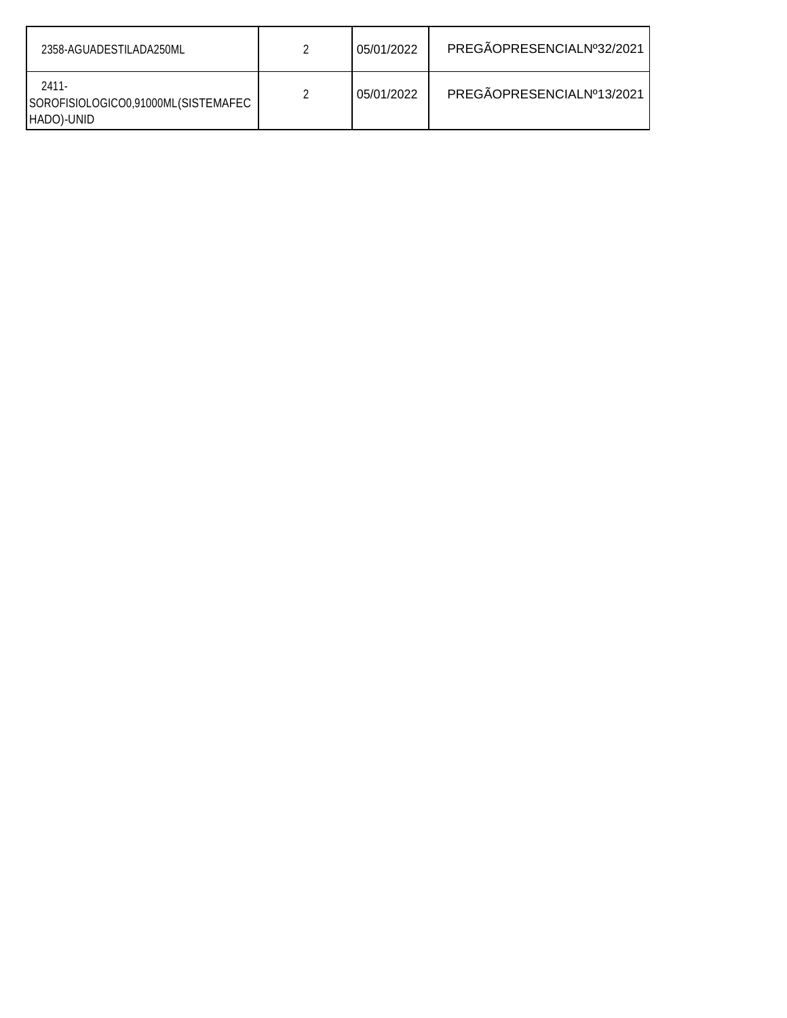| 2358-AGUADESTILADA250ML                                    |   | 05/01/2022 | PREGÃOPRESENCIALNº32/2021 |
|------------------------------------------------------------|---|------------|---------------------------|
| 2411-<br>SOROFISIOLOGICO0,91000ML(SISTEMAFEC<br>HADO)-UNID | າ | 05/01/2022 | PREGÃOPRESENCIALNº13/2021 |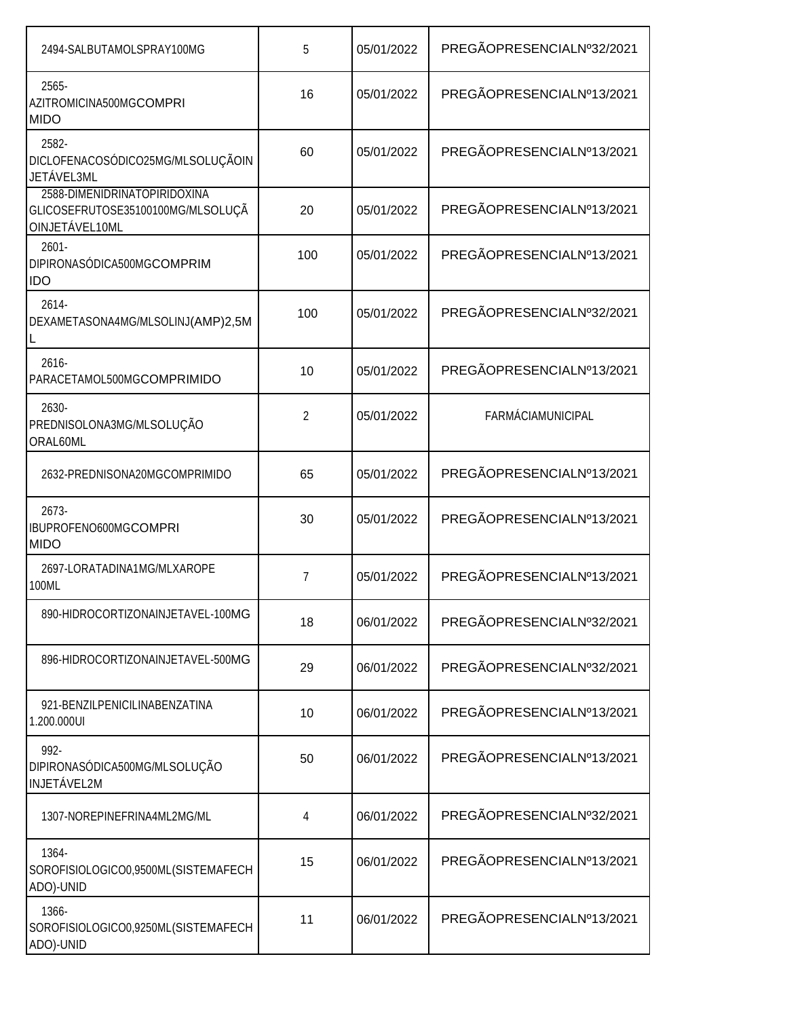| 2494-SALBUTAMOLSPRAY100MG                                                           | 5              | 05/01/2022 | PREGÃOPRESENCIALNº32/2021 |
|-------------------------------------------------------------------------------------|----------------|------------|---------------------------|
| 2565-<br>AZITROMICINA500MGCOMPRI<br><b>MIDO</b>                                     | 16             | 05/01/2022 | PREGÃOPRESENCIALNº13/2021 |
| 2582-<br>DICLOFENACOSÓDICO25MG/MLSOLUÇÃOIN<br>JETÁVEL3ML                            | 60             | 05/01/2022 | PREGÃOPRESENCIALNº13/2021 |
| 2588-DIMENIDRINATOPIRIDOXINA<br>GLICOSEFRUTOSE35100100MG/MLSOLUÇÃ<br>OINJETÁVEL10ML | 20             | 05/01/2022 | PREGÃOPRESENCIALNº13/2021 |
| $2601 -$<br>DIPIRONASÓDICA500MGCOMPRIM<br><b>IDO</b>                                | 100            | 05/01/2022 | PREGÃOPRESENCIALNº13/2021 |
| 2614-<br>DEXAMETASONA4MG/MLSOLINJ(AMP)2,5M                                          | 100            | 05/01/2022 | PREGÃOPRESENCIALNº32/2021 |
| $2616 -$<br>PARACETAMOL500MGCOMPRIMIDO                                              | 10             | 05/01/2022 | PREGÃOPRESENCIALNº13/2021 |
| 2630-<br>PREDNISOLONA3MG/MLSOLUÇÃO<br>ORAL60ML                                      | $\overline{2}$ | 05/01/2022 | <b>FARMÁCIAMUNICIPAL</b>  |
| 2632-PREDNISONA20MGCOMPRIMIDO                                                       | 65             | 05/01/2022 | PREGÃOPRESENCIALNº13/2021 |
| 2673-<br>IBUPROFENO600MGCOMPRI<br><b>MIDO</b>                                       | 30             | 05/01/2022 | PREGÃOPRESENCIALNº13/2021 |
| 2697-LORATADINA1MG/MLXAROPE<br>100ML                                                | $\overline{7}$ | 05/01/2022 | PREGÃOPRESENCIALNº13/2021 |
| 890-HIDROCORTIZONAINJETAVEL-100MG                                                   | 18             | 06/01/2022 | PREGÃOPRESENCIALNº32/2021 |
| 896-HIDROCORTIZONAINJETAVEL-500MG                                                   | 29             | 06/01/2022 | PREGÃOPRESENCIALNº32/2021 |
| 921-BENZILPENICILINABENZATINA<br>1.200.000UI                                        | 10             | 06/01/2022 | PREGÃOPRESENCIALNº13/2021 |
| 992-<br>DIPIRONASÓDICA500MG/MLSOLUÇÃO<br>INJETÁVEL2M                                | 50             | 06/01/2022 | PREGÃOPRESENCIALNº13/2021 |
| 1307-NOREPINEFRINA4ML2MG/ML                                                         | 4              | 06/01/2022 | PREGÃOPRESENCIALNº32/2021 |
| 1364-<br>SOROFISIOLOGICO0,9500ML(SISTEMAFECH<br>ADO)-UNID                           | 15             | 06/01/2022 | PREGÃOPRESENCIALNº13/2021 |
| 1366-<br>SOROFISIOLOGICO0,9250ML(SISTEMAFECH<br>ADO)-UNID                           | 11             | 06/01/2022 | PREGÃOPRESENCIALNº13/2021 |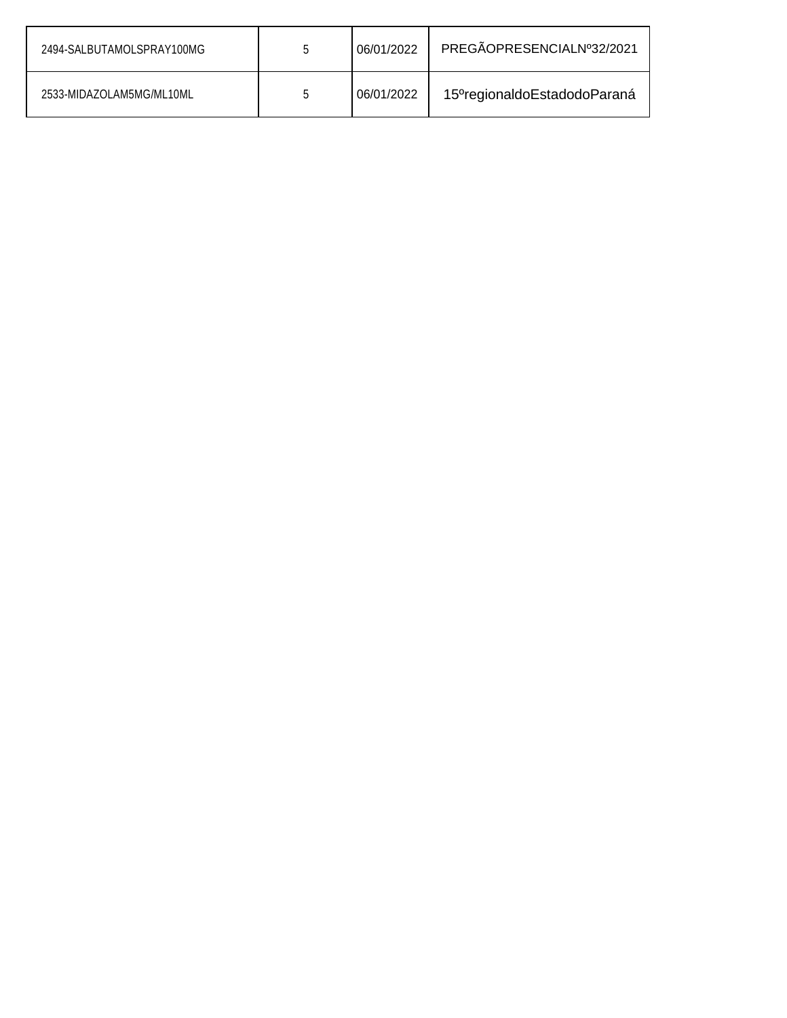| 2494-SALBUTAMOLSPRAY100MG | b | 06/01/2022 | PREGÃOPRESENCIALNº32/2021                |
|---------------------------|---|------------|------------------------------------------|
| 2533-MIDAZOLAM5MG/ML10ML  |   | 06/01/2022 | 15 <sup>°</sup> regionaldoEstadodoParaná |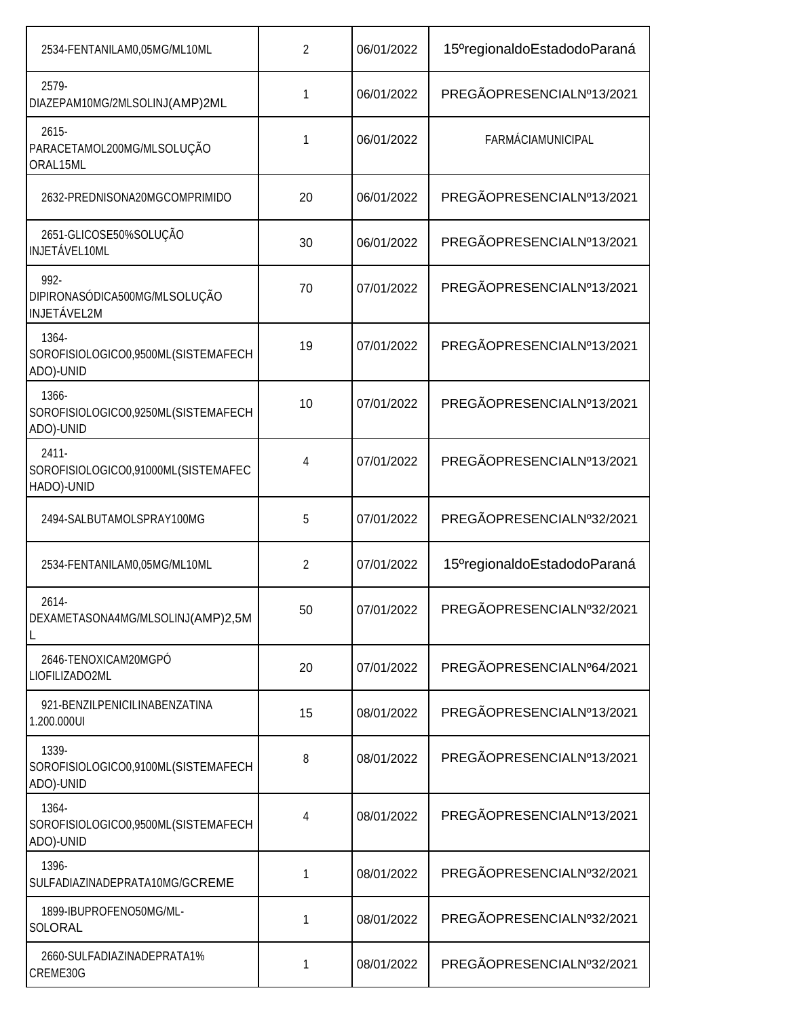| 2534-FENTANILAM0,05MG/ML10ML                                  | 2  | 06/01/2022 | 15 <sup>o</sup> regionaldoEstadodoParaná |
|---------------------------------------------------------------|----|------------|------------------------------------------|
| 2579-<br>DIAZEPAM10MG/2MLSOLINJ(AMP)2ML                       | 1  | 06/01/2022 | PREGÃOPRESENCIALNº13/2021                |
| $2615 -$<br>PARACETAMOL200MG/MLSOLUÇÃO<br>ORAL15ML            | 1  | 06/01/2022 | <b>FARMÁCIAMUNICIPAL</b>                 |
| 2632-PREDNISONA20MGCOMPRIMIDO                                 | 20 | 06/01/2022 | PREGÃOPRESENCIALNº13/2021                |
| 2651-GLICOSE50%SOLUÇÃO<br>INJETÁVEL10ML                       | 30 | 06/01/2022 | PREGÃOPRESENCIALNº13/2021                |
| 992-<br>DIPIRONASÓDICA500MG/MLSOLUÇÃO<br><b>INJETÁVEL2M</b>   | 70 | 07/01/2022 | PREGÃOPRESENCIALNº13/2021                |
| 1364-<br>SOROFISIOLOGICO0,9500ML(SISTEMAFECH<br>ADO)-UNID     | 19 | 07/01/2022 | PREGÃOPRESENCIALNº13/2021                |
| 1366-<br>SOROFISIOLOGICO0,9250ML(SISTEMAFECH<br>ADO)-UNID     | 10 | 07/01/2022 | PREGÃOPRESENCIALNº13/2021                |
| $2411 -$<br>SOROFISIOLOGICO0,91000ML(SISTEMAFEC<br>HADO)-UNID | 4  | 07/01/2022 | PREGÃOPRESENCIALNº13/2021                |
| 2494-SALBUTAMOLSPRAY100MG                                     | 5  | 07/01/2022 | PREGÃOPRESENCIALNº32/2021                |
| 2534-FENTANILAM0,05MG/ML10ML                                  | 2  | 07/01/2022 | 15 <sup>o</sup> regionaldoEstadodoParaná |
| 2614-<br>DEXAMETASONA4MG/MLSOLINJ(AMP)2,5M                    | 50 | 07/01/2022 | PREGÃOPRESENCIALNº32/2021                |
| 2646-TENOXICAM20MGPÓ<br>LIOFILIZADO2ML                        | 20 | 07/01/2022 | PREGÃOPRESENCIALNº64/2021                |
| 921-BENZILPENICILINABENZATINA<br>1.200.000UI                  | 15 | 08/01/2022 | PREGÃOPRESENCIALNº13/2021                |
| 1339-<br>SOROFISIOLOGICO0,9100ML(SISTEMAFECH<br>ADO)-UNID     | 8  | 08/01/2022 | PREGÃOPRESENCIALNº13/2021                |
| 1364-<br>SOROFISIOLOGICO0,9500ML(SISTEMAFECH<br>ADO)-UNID     | 4  | 08/01/2022 | PREGÃOPRESENCIALNº13/2021                |
| 1396-<br>SULFADIAZINADEPRATA10MG/GCREME                       | 1  | 08/01/2022 | PREGÃOPRESENCIALNº32/2021                |
| 1899-IBUPROFENO50MG/ML-<br>SOLORAL                            | 1  | 08/01/2022 | PREGÃOPRESENCIALNº32/2021                |
| 2660-SULFADIAZINADEPRATA1%<br>CREME30G                        | 1  | 08/01/2022 | PREGÃOPRESENCIALNº32/2021                |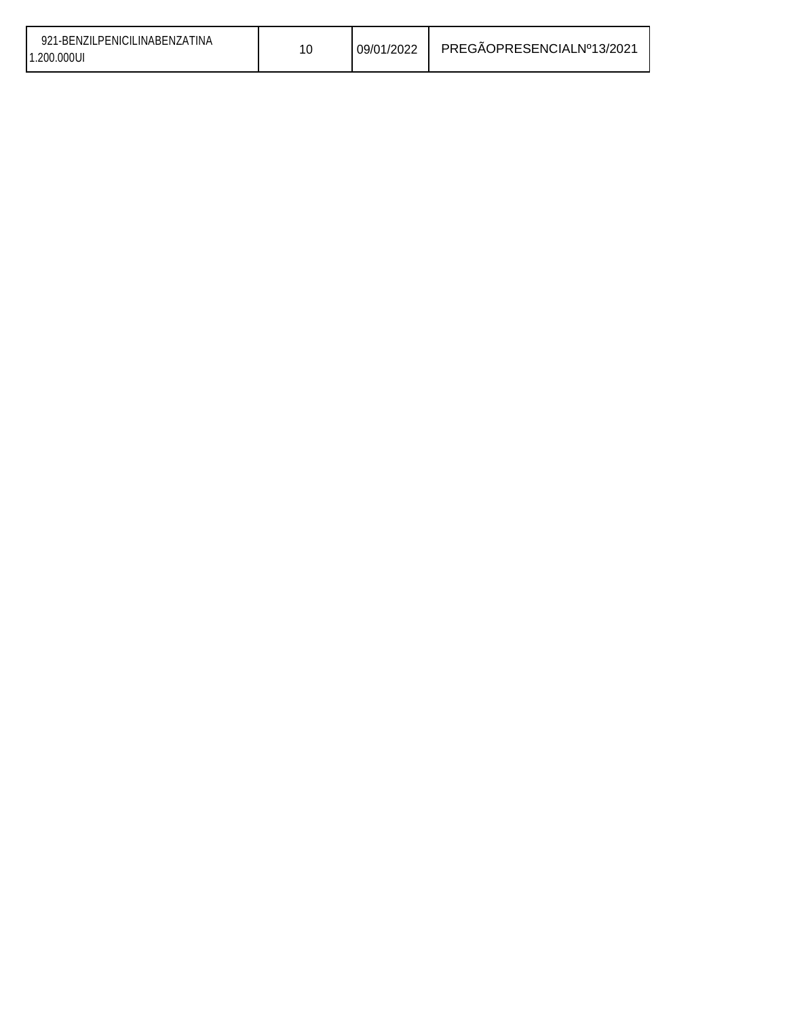| 921-BENZILPENICILINABENZATINA<br>1.200.000UI |  | 09/01/2022 | PREGÃOPRESENCIALNº13/2021 |
|----------------------------------------------|--|------------|---------------------------|
|----------------------------------------------|--|------------|---------------------------|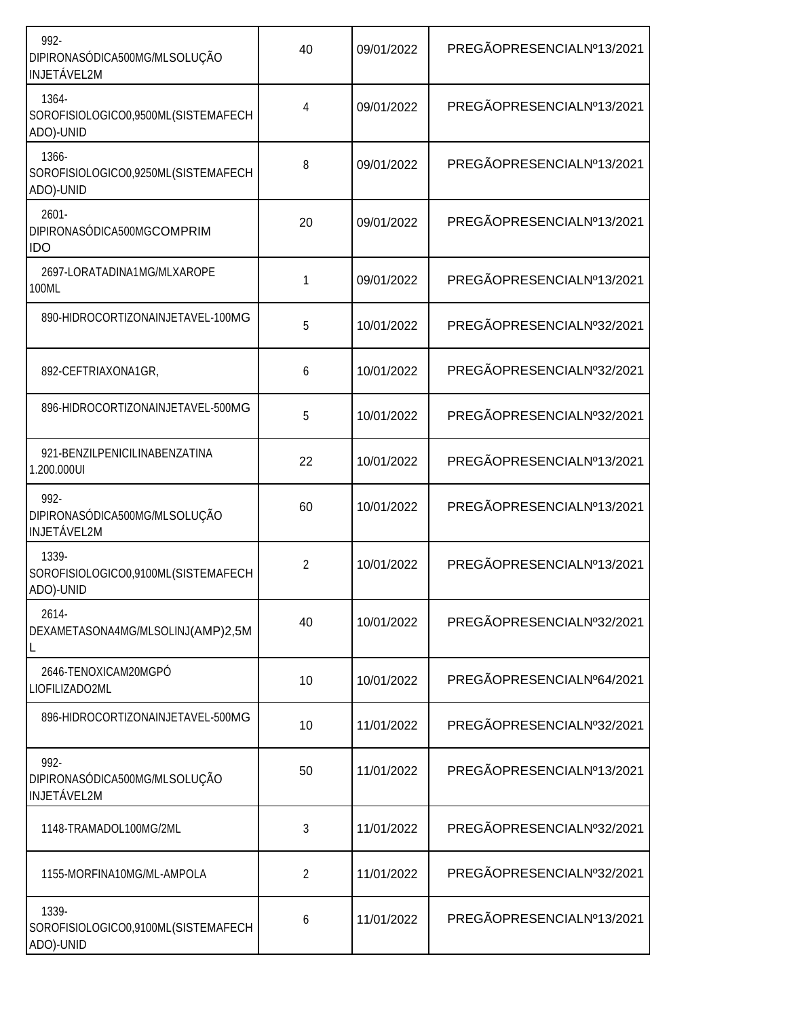| 992-<br>DIPIRONASÓDICA500MG/MLSOLUÇÃO<br><b>INJETÁVEL2M</b> | 40 | 09/01/2022 | PREGÃOPRESENCIALNº13/2021 |
|-------------------------------------------------------------|----|------------|---------------------------|
| 1364-<br>SOROFISIOLOGICO0,9500ML(SISTEMAFECH<br>ADO)-UNID   | 4  | 09/01/2022 | PREGÃOPRESENCIALNº13/2021 |
| 1366-<br>SOROFISIOLOGICO0,9250ML(SISTEMAFECH<br>ADO)-UNID   | 8  | 09/01/2022 | PREGÃOPRESENCIALNº13/2021 |
| $2601 -$<br>DIPIRONASÓDICA500MGCOMPRIM<br>IDO               | 20 | 09/01/2022 | PREGÃOPRESENCIALNº13/2021 |
| 2697-LORATADINA1MG/MLXAROPE<br>100ML                        | 1  | 09/01/2022 | PREGÃOPRESENCIALNº13/2021 |
| 890-HIDROCORTIZONAINJETAVEL-100MG                           | 5  | 10/01/2022 | PREGÃOPRESENCIALNº32/2021 |
| 892-CEFTRIAXONA1GR,                                         | 6  | 10/01/2022 | PREGÃOPRESENCIALNº32/2021 |
| 896-HIDROCORTIZONAINJETAVEL-500MG                           | 5  | 10/01/2022 | PREGÃOPRESENCIALNº32/2021 |
| 921-BENZILPENICILINABENZATINA<br>1.200.000UI                | 22 | 10/01/2022 | PREGÃOPRESENCIALNº13/2021 |
| 992-<br>DIPIRONASÓDICA500MG/MLSOLUÇÃO<br><b>INJETÁVEL2M</b> | 60 | 10/01/2022 | PREGÃOPRESENCIALNº13/2021 |
| 1339-<br>SOROFISIOLOGICO0,9100ML(SISTEMAFECH<br>ADO)-UNID   | 2  | 10/01/2022 | PREGÃOPRESENCIALNº13/2021 |
| 2614-<br>DEXAMETASONA4MG/MLSOLINJ(AMP)2,5M                  | 40 | 10/01/2022 | PREGÃOPRESENCIALNº32/2021 |
| 2646-TENOXICAM20MGPÓ<br>LIOFILIZADO2ML                      | 10 | 10/01/2022 | PREGÃOPRESENCIALNº64/2021 |
| 896-HIDROCORTIZONAINJETAVEL-500MG                           | 10 | 11/01/2022 | PREGÃOPRESENCIALNº32/2021 |
| 992-<br>DIPIRONASÓDICA500MG/MLSOLUÇÃO<br><b>INJETÁVEL2M</b> | 50 | 11/01/2022 | PREGÃOPRESENCIALNº13/2021 |
| 1148-TRAMADOL100MG/2ML                                      | 3  | 11/01/2022 | PREGÃOPRESENCIALNº32/2021 |
| 1155-MORFINA10MG/ML-AMPOLA                                  | 2  | 11/01/2022 | PREGÃOPRESENCIALNº32/2021 |
| 1339-<br>SOROFISIOLOGICO0,9100ML(SISTEMAFECH<br>ADO)-UNID   | 6  | 11/01/2022 | PREGÃOPRESENCIALNº13/2021 |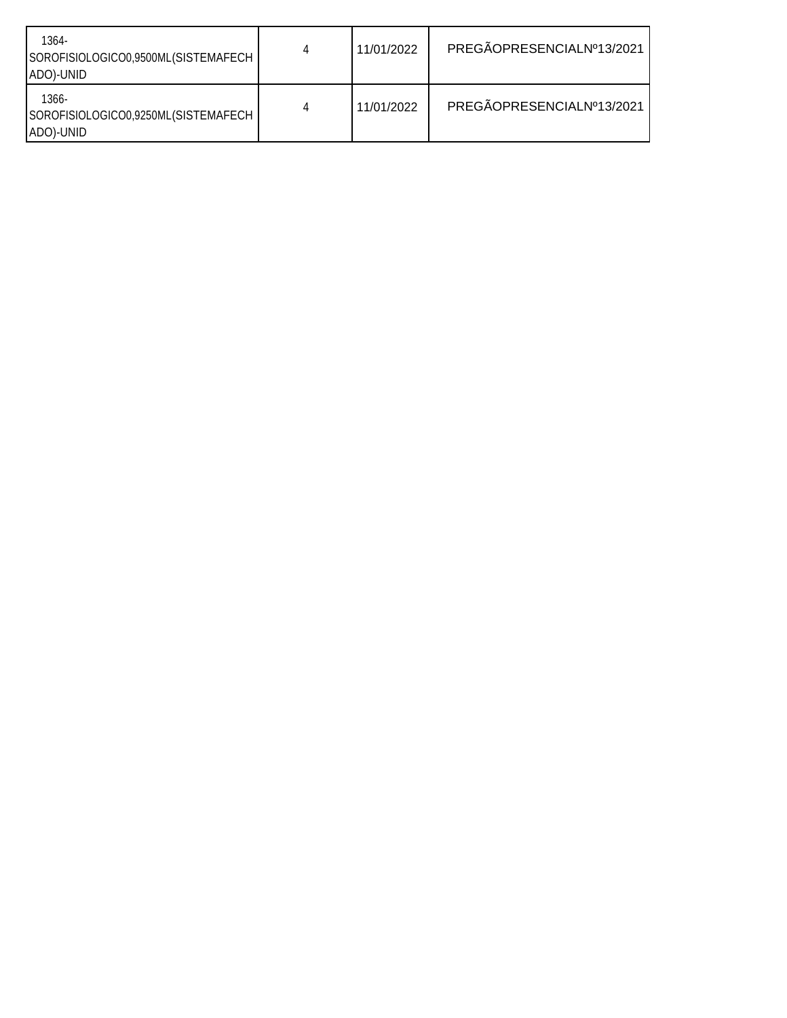| 1364-<br>SOROFISIOLOGICO0,9500ML(SISTEMAFECH<br>ADO)-UNID    | 4 | 11/01/2022 | PREGÃOPRESENCIALNº13/2021 |
|--------------------------------------------------------------|---|------------|---------------------------|
| $1366 -$<br>SOROFISIOLOGICO0,9250ML(SISTEMAFECH<br>ADO)-UNID | 4 | 11/01/2022 | PREGÃOPRESENCIALNº13/2021 |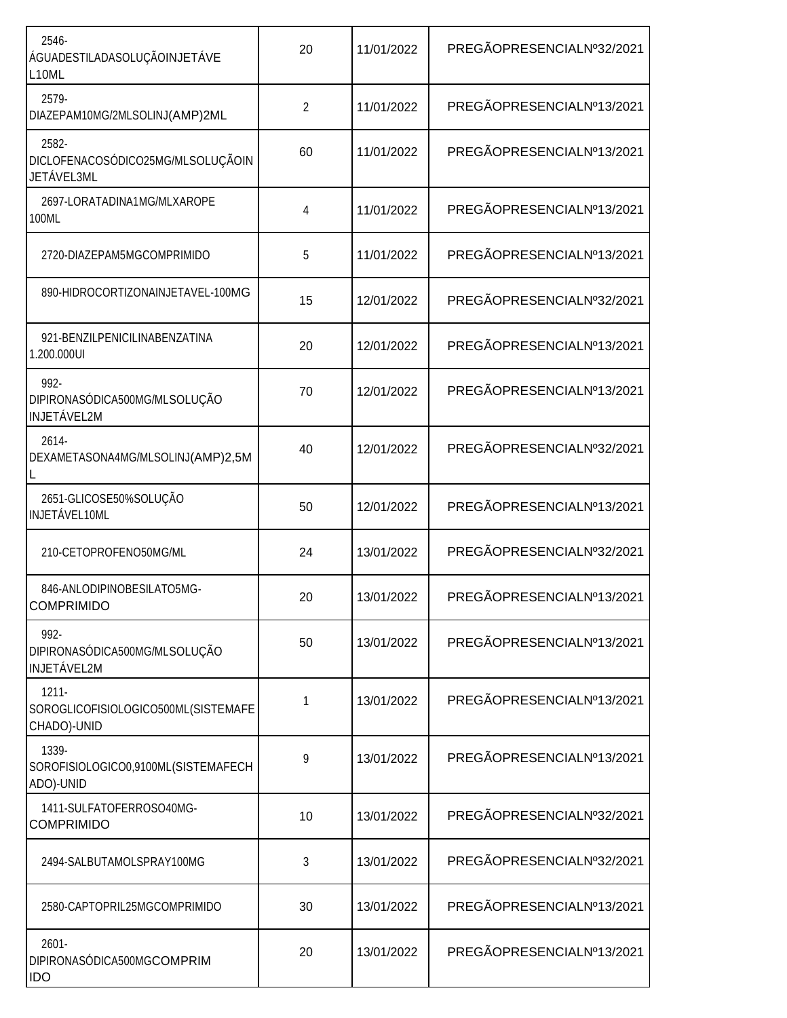| 20<br>2 | 11/01/2022 | PREGÃOPRESENCIALNº32/2021 |
|---------|------------|---------------------------|
|         |            |                           |
|         | 11/01/2022 | PREGÃOPRESENCIALNº13/2021 |
| 60      | 11/01/2022 | PREGÃOPRESENCIALNº13/2021 |
| 4       | 11/01/2022 | PREGÃOPRESENCIALNº13/2021 |
| 5       | 11/01/2022 | PREGÃOPRESENCIALNº13/2021 |
| 15      | 12/01/2022 | PREGÃOPRESENCIALNº32/2021 |
| 20      | 12/01/2022 | PREGÃOPRESENCIALNº13/2021 |
| 70      | 12/01/2022 | PREGÃOPRESENCIALNº13/2021 |
| 40      | 12/01/2022 | PREGÃOPRESENCIALNº32/2021 |
| 50      | 12/01/2022 | PREGÃOPRESENCIALNº13/2021 |
| 24      | 13/01/2022 | PREGÃOPRESENCIALNº32/2021 |
| 20      | 13/01/2022 | PREGÃOPRESENCIALNº13/2021 |
| 50      | 13/01/2022 | PREGÃOPRESENCIALNº13/2021 |
| 1       | 13/01/2022 | PREGÃOPRESENCIALNº13/2021 |
| 9       | 13/01/2022 | PREGÃOPRESENCIALNº13/2021 |
| 10      | 13/01/2022 | PREGÃOPRESENCIALNº32/2021 |
| 3       | 13/01/2022 | PREGÃOPRESENCIALNº32/2021 |
| 30      | 13/01/2022 | PREGÃOPRESENCIALNº13/2021 |
| 20      | 13/01/2022 | PREGÃOPRESENCIALNº13/2021 |
|         |            |                           |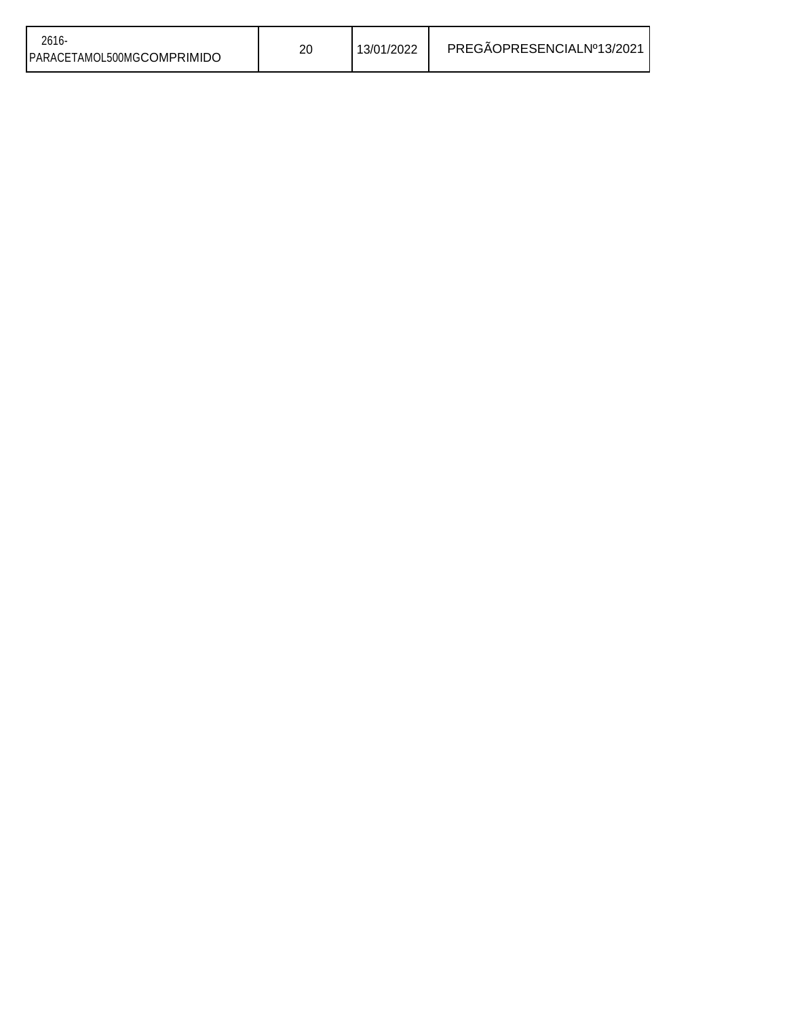| $2616 -$<br>PARACETAMOL500MGCOMPRIMIDO | 20 | 13/01/2022 | PREGÃOPRESENCIALNº13/2021 |
|----------------------------------------|----|------------|---------------------------|
|----------------------------------------|----|------------|---------------------------|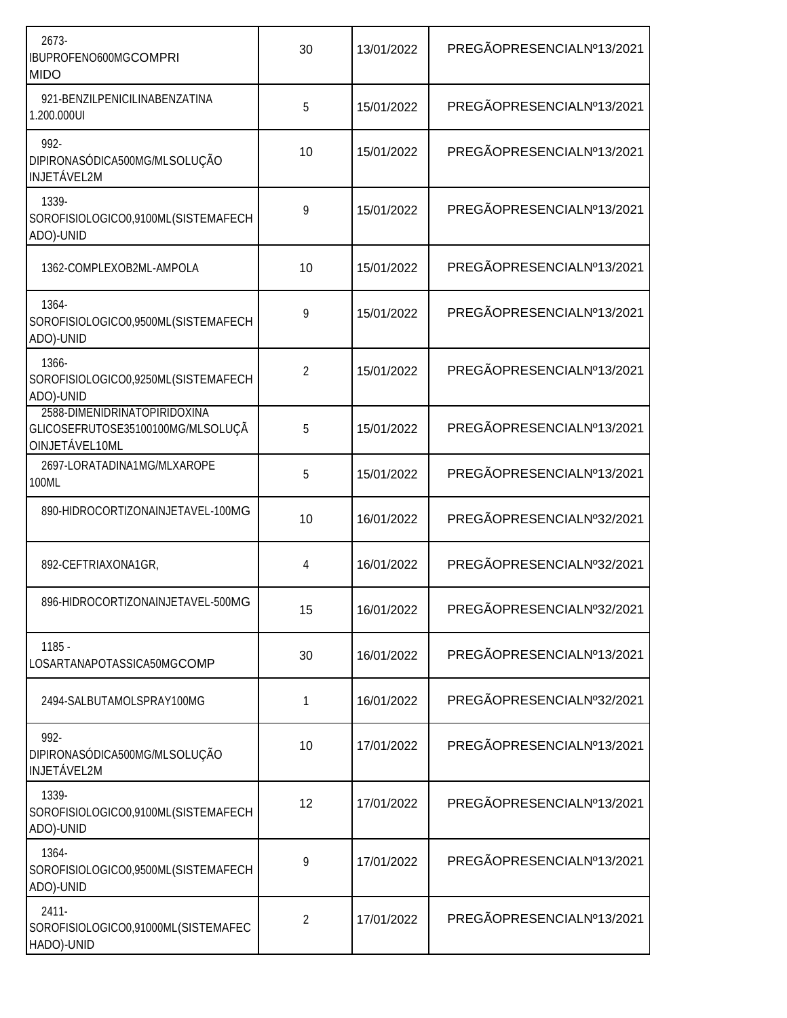| 2673-<br>IBUPROFENO600MGCOMPRI<br><b>MIDO</b>                                       | 30 | 13/01/2022 | PREGÃOPRESENCIALNº13/2021 |
|-------------------------------------------------------------------------------------|----|------------|---------------------------|
| 921-BENZILPENICILINABENZATINA<br>1.200.000UI                                        | 5  | 15/01/2022 | PREGÃOPRESENCIALNº13/2021 |
| 992-<br>DIPIRONASÓDICA500MG/MLSOLUÇÃO<br><b>INJETÁVEL2M</b>                         | 10 | 15/01/2022 | PREGÃOPRESENCIALNº13/2021 |
| 1339-<br>SOROFISIOLOGICO0,9100ML(SISTEMAFECH<br>ADO)-UNID                           | 9  | 15/01/2022 | PREGÃOPRESENCIALNº13/2021 |
| 1362-COMPLEXOB2ML-AMPOLA                                                            | 10 | 15/01/2022 | PREGÃOPRESENCIALNº13/2021 |
| 1364-<br>SOROFISIOLOGICO0,9500ML(SISTEMAFECH<br>ADO)-UNID                           | 9  | 15/01/2022 | PREGÃOPRESENCIALNº13/2021 |
| 1366-<br>SOROFISIOLOGICO0,9250ML(SISTEMAFECH<br>ADO)-UNID                           | 2  | 15/01/2022 | PREGÃOPRESENCIALNº13/2021 |
| 2588-DIMENIDRINATOPIRIDOXINA<br>GLICOSEFRUTOSE35100100MG/MLSOLUÇÃ<br>OINJETÁVEL10ML | 5  | 15/01/2022 | PREGÃOPRESENCIALNº13/2021 |
| 2697-LORATADINA1MG/MLXAROPE<br>100ML                                                | 5  | 15/01/2022 | PREGÃOPRESENCIALNº13/2021 |
| 890-HIDROCORTIZONAINJETAVEL-100MG                                                   | 10 | 16/01/2022 | PREGÃOPRESENCIALNº32/2021 |
| 892-CEFTRIAXONA1GR,                                                                 | 4  | 16/01/2022 | PREGÃOPRESENCIALNº32/2021 |
| 896-HIDROCORTIZONAINJETAVEL-500MG                                                   | 15 | 16/01/2022 | PREGÃOPRESENCIALNº32/2021 |
| $1185 -$<br>LOSARTANAPOTASSICA50MGCOMP                                              | 30 | 16/01/2022 | PREGÃOPRESENCIALNº13/2021 |
| 2494-SALBUTAMOLSPRAY100MG                                                           | 1  | 16/01/2022 | PREGÃOPRESENCIALNº32/2021 |
| 992-<br>DIPIRONASÓDICA500MG/MLSOLUÇÃO<br>INJETÁVEL2M                                | 10 | 17/01/2022 | PREGÃOPRESENCIALNº13/2021 |
| 1339-<br>SOROFISIOLOGICO0,9100ML(SISTEMAFECH<br>ADO)-UNID                           | 12 | 17/01/2022 | PREGÃOPRESENCIALNº13/2021 |
| 1364-<br>SOROFISIOLOGICO0,9500ML(SISTEMAFECH<br>ADO)-UNID                           | 9  | 17/01/2022 | PREGÃOPRESENCIALNº13/2021 |
| $2411 -$<br>SOROFISIOLOGICO0,91000ML(SISTEMAFEC<br>HADO)-UNID                       | 2  | 17/01/2022 | PREGÃOPRESENCIALNº13/2021 |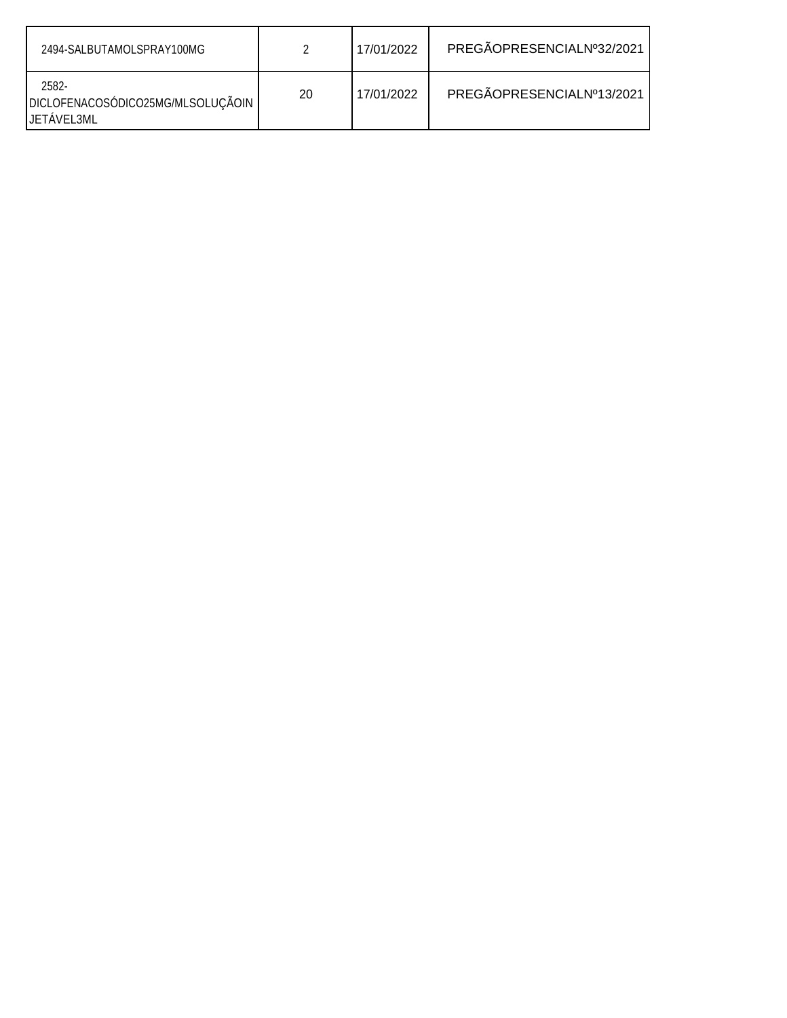| 2494-SALBUTAMOLSPRAY100MG                                       |    | 17/01/2022 | PREGÃOPRESENCIALNº32/2021 |
|-----------------------------------------------------------------|----|------------|---------------------------|
| 2582-<br>DICLOFENACOSÓDICO25MG/MLSOLUÇÃOIN<br><b>JETAVEL3ML</b> | 20 | 17/01/2022 | PREGÃOPRESENCIALNº13/2021 |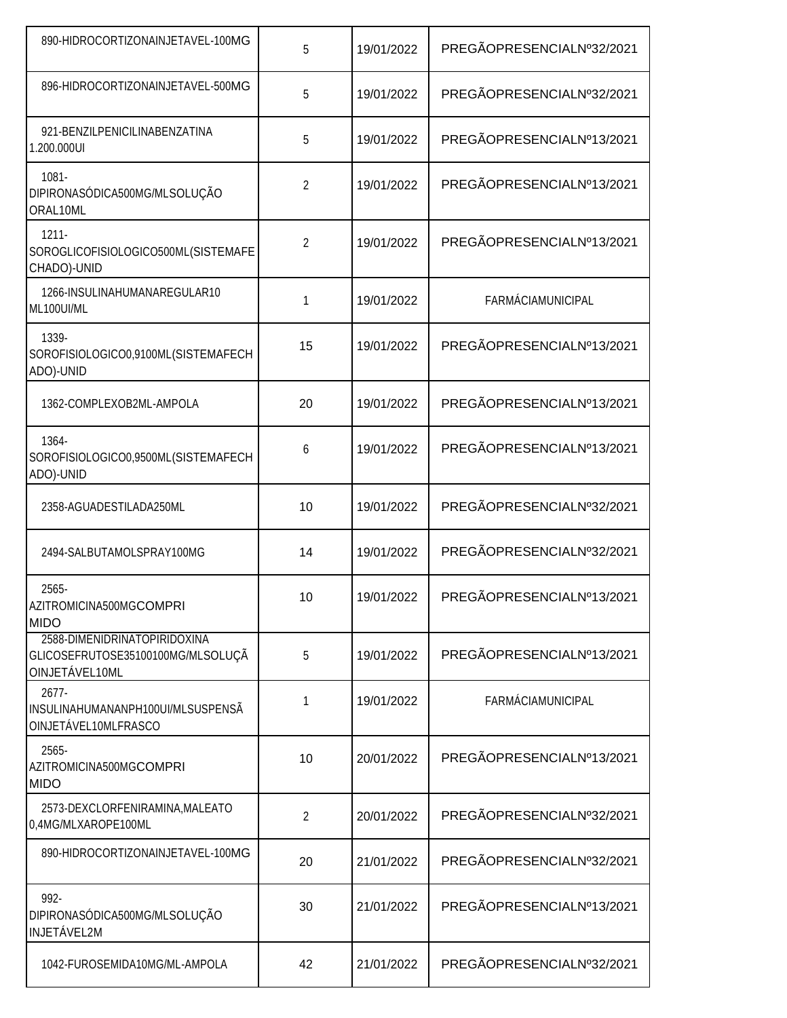| 890-HIDROCORTIZONAINJETAVEL-100MG                                                   | 5              | 19/01/2022 | PREGÃOPRESENCIALNº32/2021 |
|-------------------------------------------------------------------------------------|----------------|------------|---------------------------|
| 896-HIDROCORTIZONAINJETAVEL-500MG                                                   | 5              | 19/01/2022 | PREGÃOPRESENCIALNº32/2021 |
| 921-BENZILPENICILINABENZATINA<br>1.200.000UI                                        | 5              | 19/01/2022 | PREGÃOPRESENCIALNº13/2021 |
| $1081 -$<br>DIPIRONASÓDICA500MG/MLSOLUÇÃO<br>ORAL10ML                               | $\overline{2}$ | 19/01/2022 | PREGÃOPRESENCIALNº13/2021 |
| $1211 -$<br>SOROGLICOFISIOLOGICO500ML(SISTEMAFE<br>CHADO)-UNID                      | $\overline{2}$ | 19/01/2022 | PREGÃOPRESENCIALNº13/2021 |
| 1266-INSULINAHUMANAREGULAR10<br>ML100UI/ML                                          | 1              | 19/01/2022 | <b>FARMÁCIAMUNICIPAL</b>  |
| 1339-<br>SOROFISIOLOGICO0,9100ML(SISTEMAFECH<br>ADO)-UNID                           | 15             | 19/01/2022 | PREGÃOPRESENCIALNº13/2021 |
| 1362-COMPLEXOB2ML-AMPOLA                                                            | 20             | 19/01/2022 | PREGÃOPRESENCIALNº13/2021 |
| 1364-<br>SOROFISIOLOGICO0,9500ML(SISTEMAFECH<br>ADO)-UNID                           | 6              | 19/01/2022 | PREGÃOPRESENCIALNº13/2021 |
| 2358-AGUADESTILADA250ML                                                             | 10             | 19/01/2022 | PREGÃOPRESENCIALNº32/2021 |
| 2494-SALBUTAMOLSPRAY100MG                                                           | 14             | 19/01/2022 | PREGÃOPRESENCIALNº32/2021 |
| 2565-<br>AZITROMICINA500MGCOMPRI<br><b>MIDO</b>                                     | 10             | 19/01/2022 | PREGÃOPRESENCIALNº13/2021 |
| 2588-DIMENIDRINATOPIRIDOXINA<br>GLICOSEFRUTOSE35100100MG/MLSOLUÇÃ<br>OINJETÁVEL10ML | 5              | 19/01/2022 | PREGÃOPRESENCIALNº13/2021 |
| 2677-<br>INSULINAHUMANANPH100UI/MLSUSPENSÃ<br>OINJETÁVEL10MLFRASCO                  | 1              | 19/01/2022 | FARMÁCIAMUNICIPAL         |
| 2565-<br>AZITROMICINA500MGCOMPRI<br><b>MIDO</b>                                     | 10             | 20/01/2022 | PREGÃOPRESENCIALNº13/2021 |
| 2573-DEXCLORFENIRAMINA, MALEATO<br>0,4MG/MLXAROPE100ML                              | 2              | 20/01/2022 | PREGÃOPRESENCIALNº32/2021 |
| 890-HIDROCORTIZONAINJETAVEL-100MG                                                   | 20             | 21/01/2022 | PREGÃOPRESENCIALNº32/2021 |
| 992-<br>DIPIRONASÓDICA500MG/MLSOLUÇÃO<br><b>INJETÁVEL2M</b>                         | 30             | 21/01/2022 | PREGÃOPRESENCIALNº13/2021 |
| 1042-FUROSEMIDA10MG/ML-AMPOLA                                                       | 42             | 21/01/2022 | PREGÃOPRESENCIALNº32/2021 |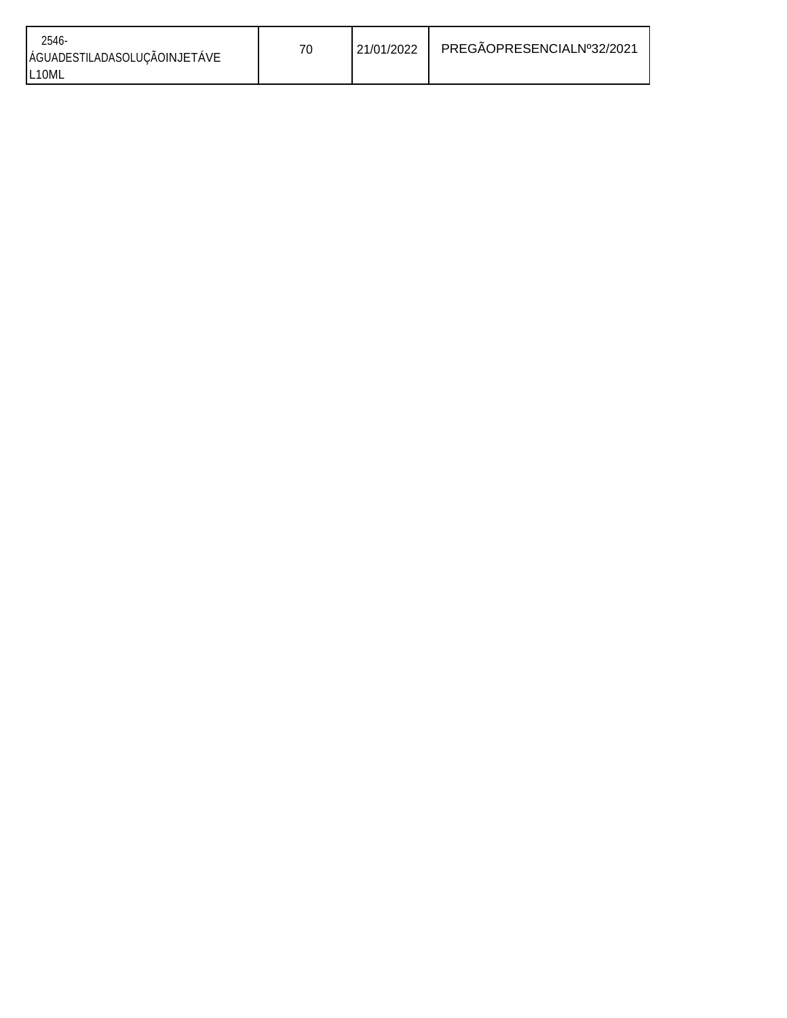| $2546 -$<br>ÁGUADESTILADASOLUÇÃOINJETÁVE | 70 | 21/01/2022 | PREGAOPRESENCIALNº32/2021 |
|------------------------------------------|----|------------|---------------------------|
| L <sub>10ML</sub>                        |    |            |                           |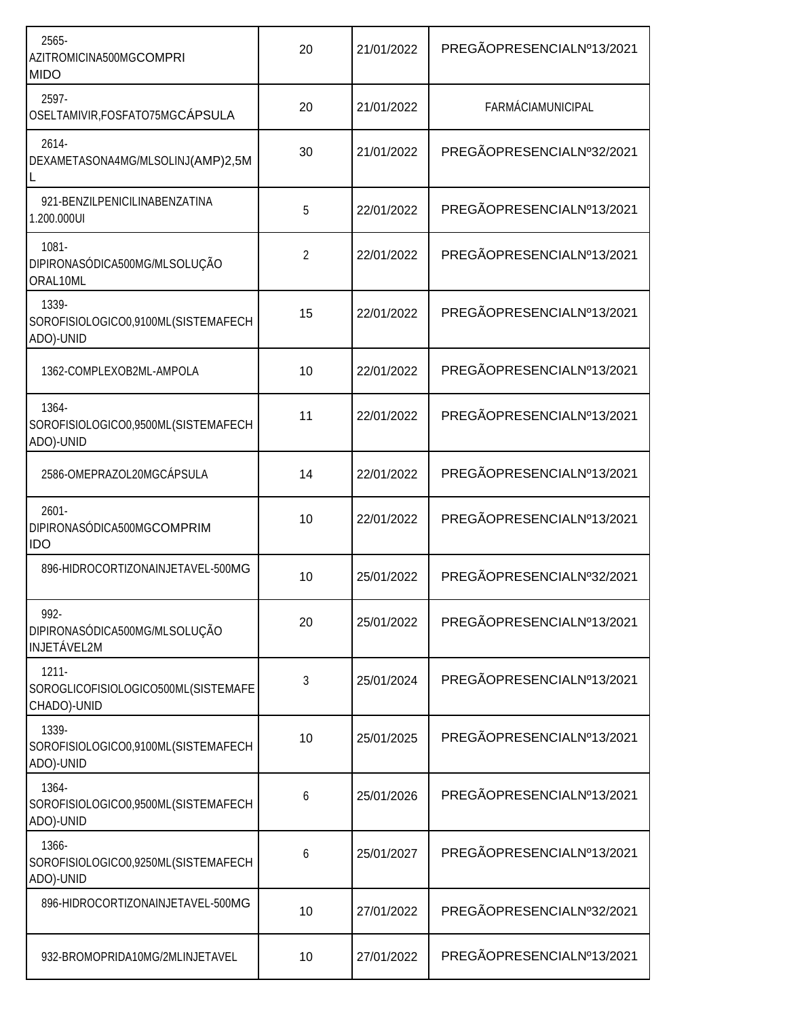| 2565-<br>AZITROMICINA500MGCOMPRI<br><b>MIDO</b>                | 20             | 21/01/2022 | PREGÃOPRESENCIALNº13/2021 |  |
|----------------------------------------------------------------|----------------|------------|---------------------------|--|
| 2597-<br>OSELTAMIVIR, FOSFATO75MGCÁPSULA                       | 20             | 21/01/2022 | FARMÁCIAMUNICIPAL         |  |
| 2614-<br>DEXAMETASONA4MG/MLSOLINJ(AMP)2,5M                     | 30             | 21/01/2022 | PREGÃOPRESENCIALNº32/2021 |  |
| 921-BENZILPENICILINABENZATINA<br>1.200.000UI                   | 5              | 22/01/2022 | PREGÃOPRESENCIALNº13/2021 |  |
| $1081 -$<br>DIPIRONASÓDICA500MG/MLSOLUÇÃO<br>ORAL10ML          | $\overline{2}$ | 22/01/2022 | PREGÃOPRESENCIALNº13/2021 |  |
| 1339-<br>SOROFISIOLOGICO0,9100ML(SISTEMAFECH<br>ADO)-UNID      | 15             | 22/01/2022 | PREGÃOPRESENCIALNº13/2021 |  |
| 1362-COMPLEXOB2ML-AMPOLA                                       | 10             | 22/01/2022 | PREGÃOPRESENCIALNº13/2021 |  |
| 1364-<br>SOROFISIOLOGICO0,9500ML(SISTEMAFECH<br>ADO)-UNID      | 11             | 22/01/2022 | PREGÃOPRESENCIALNº13/2021 |  |
| 2586-OMEPRAZOL20MGCÁPSULA                                      | 14             | 22/01/2022 | PREGÃOPRESENCIALNº13/2021 |  |
| $2601 -$<br>DIPIRONASÓDICA500MGCOMPRIM<br><b>IDO</b>           | 10             | 22/01/2022 | PREGÃOPRESENCIALNº13/2021 |  |
| 896-HIDROCORTIZONAINJETAVEL-500MG                              | 10             | 25/01/2022 | PREGÃOPRESENCIALNº32/2021 |  |
| 992-<br>DIPIRONASÓDICA500MG/MLSOLUÇÃO<br><b>INJETÁVEL2M</b>    | 20             | 25/01/2022 | PREGÃOPRESENCIALNº13/2021 |  |
| $1211 -$<br>SOROGLICOFISIOLOGICO500ML(SISTEMAFE<br>CHADO)-UNID | 3              | 25/01/2024 | PREGÃOPRESENCIALNº13/2021 |  |
| 1339-<br>SOROFISIOLOGICO0,9100ML(SISTEMAFECH<br>ADO)-UNID      | 10             | 25/01/2025 | PREGÃOPRESENCIALNº13/2021 |  |
| 1364-<br>SOROFISIOLOGICO0,9500ML(SISTEMAFECH<br>ADO)-UNID      | 6              | 25/01/2026 | PREGÃOPRESENCIALNº13/2021 |  |
| 1366-<br>SOROFISIOLOGICO0,9250ML(SISTEMAFECH<br>ADO)-UNID      | 6              | 25/01/2027 | PREGÃOPRESENCIALNº13/2021 |  |
| 896-HIDROCORTIZONAINJETAVEL-500MG                              | 10             | 27/01/2022 | PREGÃOPRESENCIALNº32/2021 |  |
| 932-BROMOPRIDA10MG/2MLINJETAVEL                                | 10             | 27/01/2022 | PREGÃOPRESENCIALNº13/2021 |  |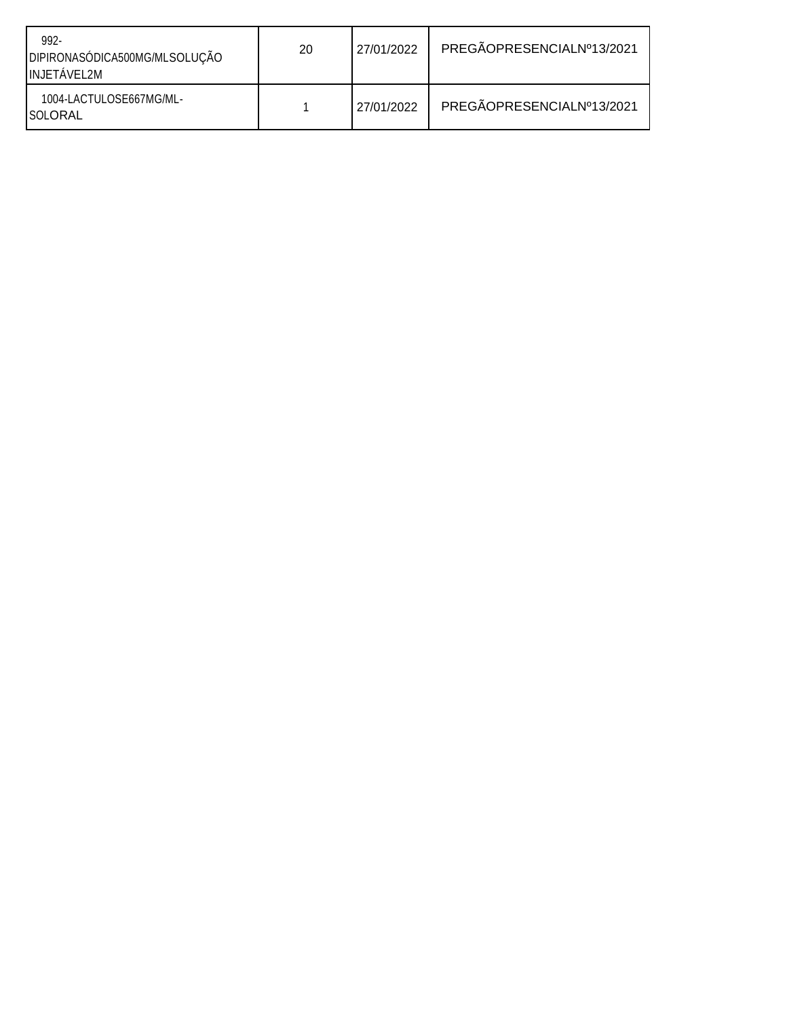| 992-<br>DIPIRONASÓDICA500MG/MLSOLUÇÃO<br><b>INJETAVEL2M</b> | 20 | 27/01/2022 | PREGÃOPRESENCIALNº13/2021 |
|-------------------------------------------------------------|----|------------|---------------------------|
| 1004-LACTULOSE667MG/ML-<br><b>ISOLORAL</b>                  |    | 27/01/2022 | PREGÃOPRESENCIALNº13/2021 |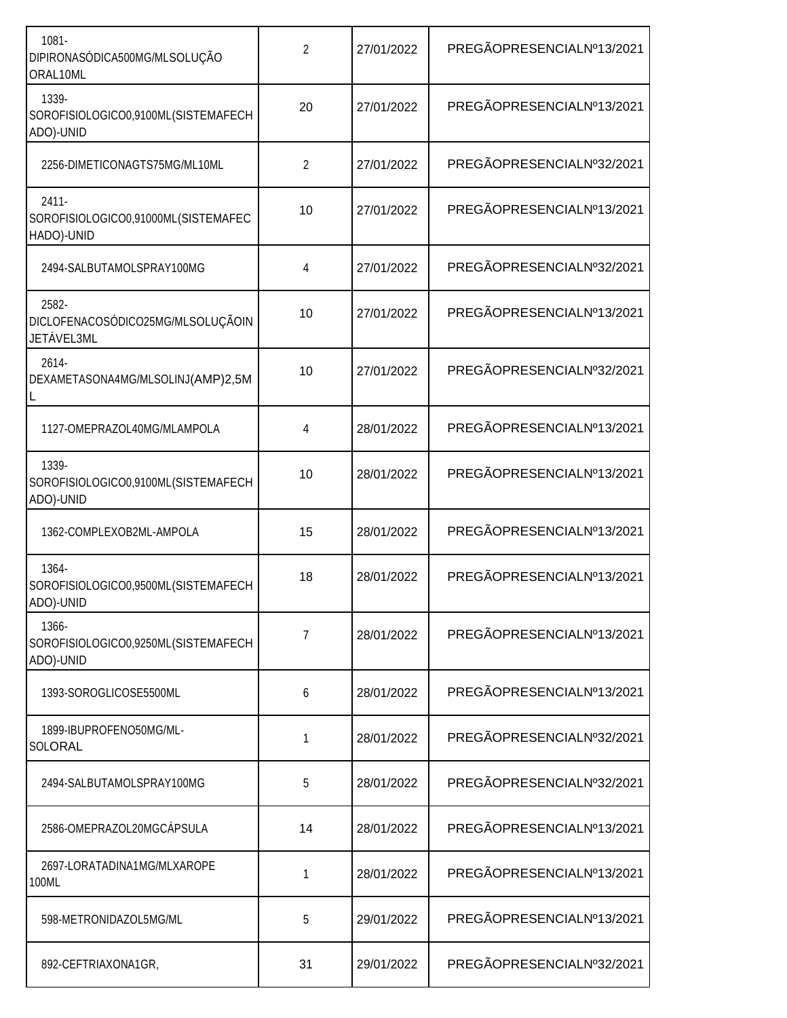| $1081 -$<br>DIPIRONASÓDICA500MG/MLSOLUÇÃO<br>ORAL10ML         | $\overline{2}$ | 27/01/2022 | PREGÃOPRESENCIALNº13/2021 |
|---------------------------------------------------------------|----------------|------------|---------------------------|
| 1339-<br>SOROFISIOLOGICO0,9100ML(SISTEMAFECH<br>ADO)-UNID     | 20             | 27/01/2022 | PREGÃOPRESENCIALNº13/2021 |
| 2256-DIMETICONAGTS75MG/ML10ML                                 | $\overline{2}$ | 27/01/2022 | PREGÃOPRESENCIALNº32/2021 |
| $2411 -$<br>SOROFISIOLOGICO0,91000ML(SISTEMAFEC<br>HADO)-UNID | 10             | 27/01/2022 | PREGÃOPRESENCIALNº13/2021 |
| 2494-SALBUTAMOLSPRAY100MG                                     | 4              | 27/01/2022 | PREGÃOPRESENCIALNº32/2021 |
| 2582-<br>DICLOFENACOSÓDICO25MG/MLSOLUÇÃOIN<br>JETÁVEL3ML      | 10             | 27/01/2022 | PREGÃOPRESENCIALNº13/2021 |
| 2614-<br>DEXAMETASONA4MG/MLSOLINJ(AMP)2,5M                    | 10             | 27/01/2022 | PREGÃOPRESENCIALNº32/2021 |
| 1127-OMEPRAZOL40MG/MLAMPOLA                                   | 4              | 28/01/2022 | PREGÃOPRESENCIALNº13/2021 |
| 1339-<br>SOROFISIOLOGICO0,9100ML(SISTEMAFECH<br>ADO)-UNID     | 10             | 28/01/2022 | PREGÃOPRESENCIALNº13/2021 |
| 1362-COMPLEXOB2ML-AMPOLA                                      | 15             | 28/01/2022 | PREGÃOPRESENCIALNº13/2021 |
| 1364-<br>SOROFISIOLOGICO0,9500ML(SISTEMAFECH<br>ADO)-UNID     | 18             | 28/01/2022 | PREGÃOPRESENCIALNº13/2021 |
| 1366-<br>SOROFISIOLOGICO0,9250ML(SISTEMAFECH<br>ADO)-UNID     | 7              | 28/01/2022 | PREGÃOPRESENCIALNº13/2021 |
| 1393-SOROGLICOSE5500ML                                        | 6              | 28/01/2022 | PREGÃOPRESENCIALNº13/2021 |
| 1899-IBUPROFENO50MG/ML-<br>SOLORAL                            | 1              | 28/01/2022 | PREGÃOPRESENCIALNº32/2021 |
| 2494-SALBUTAMOLSPRAY100MG                                     | 5              | 28/01/2022 | PREGÃOPRESENCIALNº32/2021 |
| 2586-OMEPRAZOL20MGCÁPSULA                                     | 14             | 28/01/2022 | PREGÃOPRESENCIALNº13/2021 |
| 2697-LORATADINA1MG/MLXAROPE<br>100ML                          | 1              | 28/01/2022 | PREGÃOPRESENCIALNº13/2021 |
| 598-METRONIDAZOL5MG/ML                                        | 5              | 29/01/2022 | PREGÃOPRESENCIALNº13/2021 |
| 892-CEFTRIAXONA1GR,                                           | 31             | 29/01/2022 | PREGÃOPRESENCIALNº32/2021 |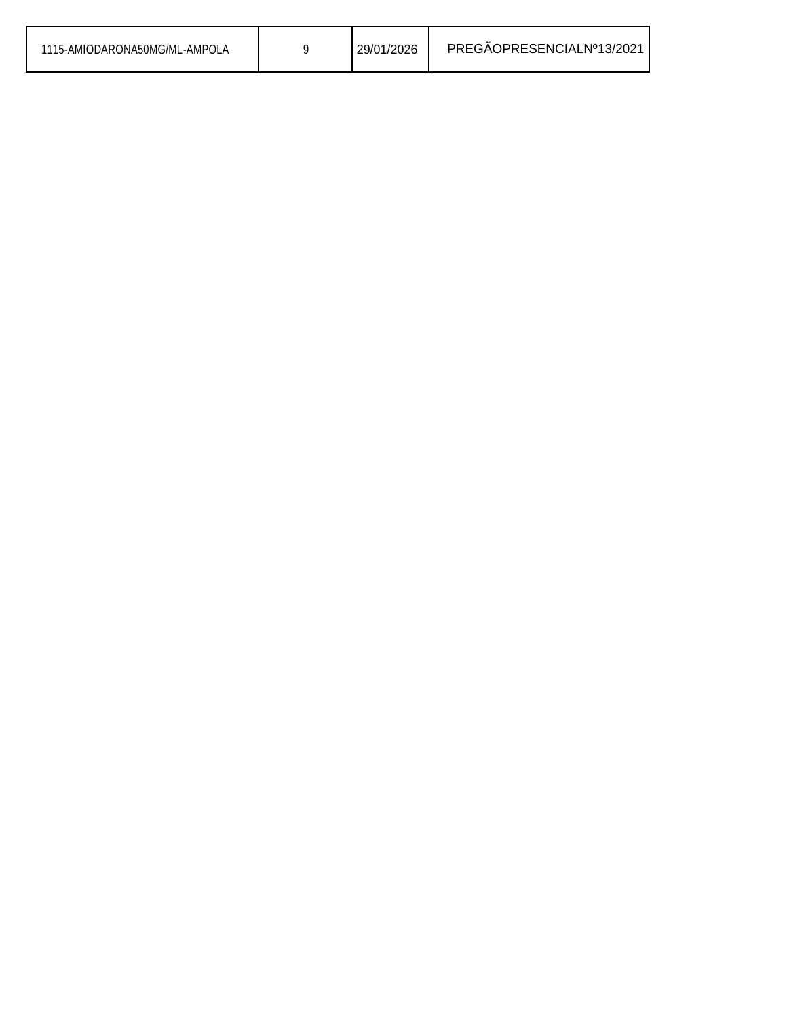| 1115-AMIODARONA50MG/ML-AMPOLA | 29/01/2026 | PREGAOPRESENCIALNº13/2021 |
|-------------------------------|------------|---------------------------|
|                               |            |                           |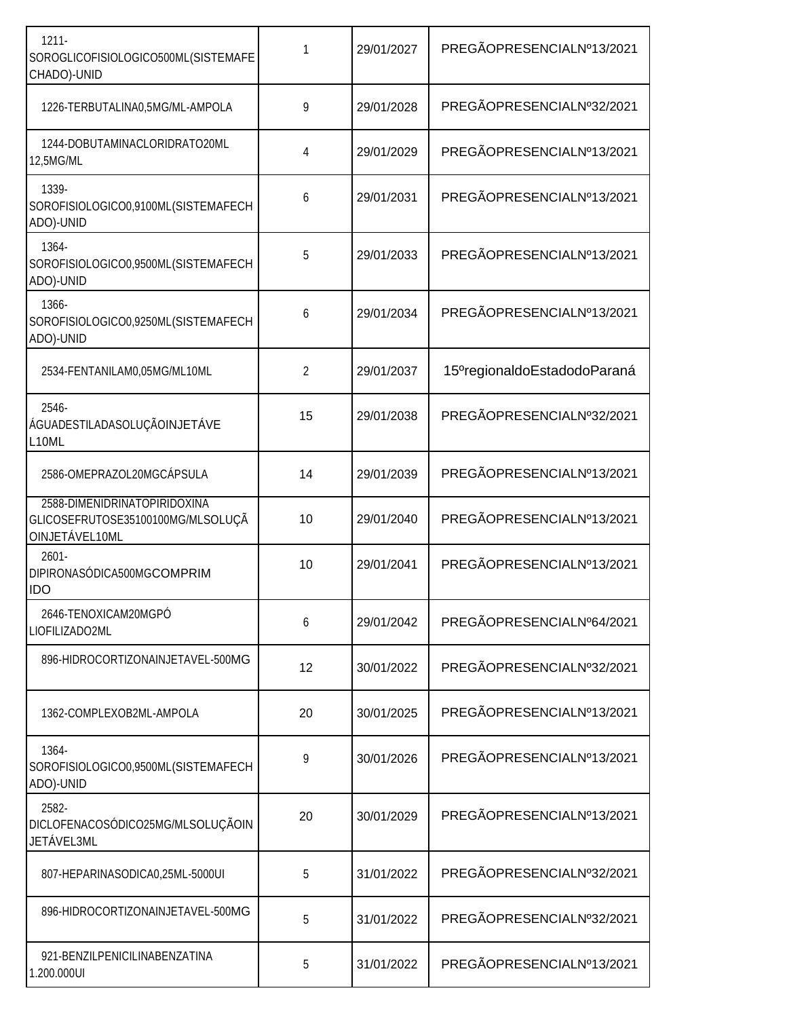| $1211 -$<br>SOROGLICOFISIOLOGICO500ML(SISTEMAFE<br>CHADO)-UNID                      | 1              | 29/01/2027 | PREGÃOPRESENCIALNº13/2021                |
|-------------------------------------------------------------------------------------|----------------|------------|------------------------------------------|
| 1226-TERBUTALINA0,5MG/ML-AMPOLA                                                     | 9              | 29/01/2028 | PREGÃOPRESENCIALNº32/2021                |
| 1244-DOBUTAMINACLORIDRATO20ML<br>12,5MG/ML                                          | 4              | 29/01/2029 | PREGÃOPRESENCIALNº13/2021                |
| 1339-<br>SOROFISIOLOGICO0,9100ML(SISTEMAFECH<br>ADO)-UNID                           | 6              | 29/01/2031 | PREGÃOPRESENCIALNº13/2021                |
| 1364-<br>SOROFISIOLOGICO0,9500ML(SISTEMAFECH<br>ADO)-UNID                           | 5              | 29/01/2033 | PREGÃOPRESENCIALNº13/2021                |
| 1366-<br>SOROFISIOLOGICO0,9250ML(SISTEMAFECH<br>ADO)-UNID                           | 6              | 29/01/2034 | PREGÃOPRESENCIALNº13/2021                |
| 2534-FENTANILAM0,05MG/ML10ML                                                        | $\overline{2}$ | 29/01/2037 | 15 <sup>o</sup> regionaldoEstadodoParaná |
| 2546-<br>ÁGUADESTILADASOLUÇÃOINJETÁVE<br>L10ML                                      | 15             | 29/01/2038 | PREGÃOPRESENCIALNº32/2021                |
| 2586-OMEPRAZOL20MGCÁPSULA                                                           | 14             | 29/01/2039 | PREGÃOPRESENCIALNº13/2021                |
| 2588-DIMENIDRINATOPIRIDOXINA<br>GLICOSEFRUTOSE35100100MG/MLSOLUÇÃ<br>OINJETÁVEL10ML | 10             | 29/01/2040 | PREGÃOPRESENCIALNº13/2021                |
| $2601 -$<br>DIPIRONASÓDICA500MGCOMPRIM<br><b>IDO</b>                                | 10             | 29/01/2041 | PREGÃOPRESENCIALNº13/2021                |
| 2646-TENOXICAM20MGPÓ<br>LIOFILIZADO2ML                                              | 6              | 29/01/2042 | PREGÃOPRESENCIALNº64/2021                |
| 896-HIDROCORTIZONAINJETAVEL-500MG                                                   | 12             | 30/01/2022 | PREGÃOPRESENCIALNº32/2021                |
| 1362-COMPLEXOB2ML-AMPOLA                                                            | 20             | 30/01/2025 | PREGÃOPRESENCIALNº13/2021                |
| 1364-<br>SOROFISIOLOGICO0,9500ML(SISTEMAFECH<br>ADO)-UNID                           | 9              | 30/01/2026 | PREGÃOPRESENCIALNº13/2021                |
| 2582-<br>DICLOFENACOSÓDICO25MG/MLSOLUÇÃOIN<br>JETÁVEL3ML                            | 20             | 30/01/2029 | PREGÃOPRESENCIALNº13/2021                |
| 807-HEPARINASODICA0,25ML-5000UI                                                     | 5              | 31/01/2022 | PREGÃOPRESENCIALNº32/2021                |
| 896-HIDROCORTIZONAINJETAVEL-500MG                                                   | 5              | 31/01/2022 | PREGÃOPRESENCIALNº32/2021                |
| 921-BENZILPENICILINABENZATINA<br>1.200.000UI                                        | 5              | 31/01/2022 | PREGÃOPRESENCIALNº13/2021                |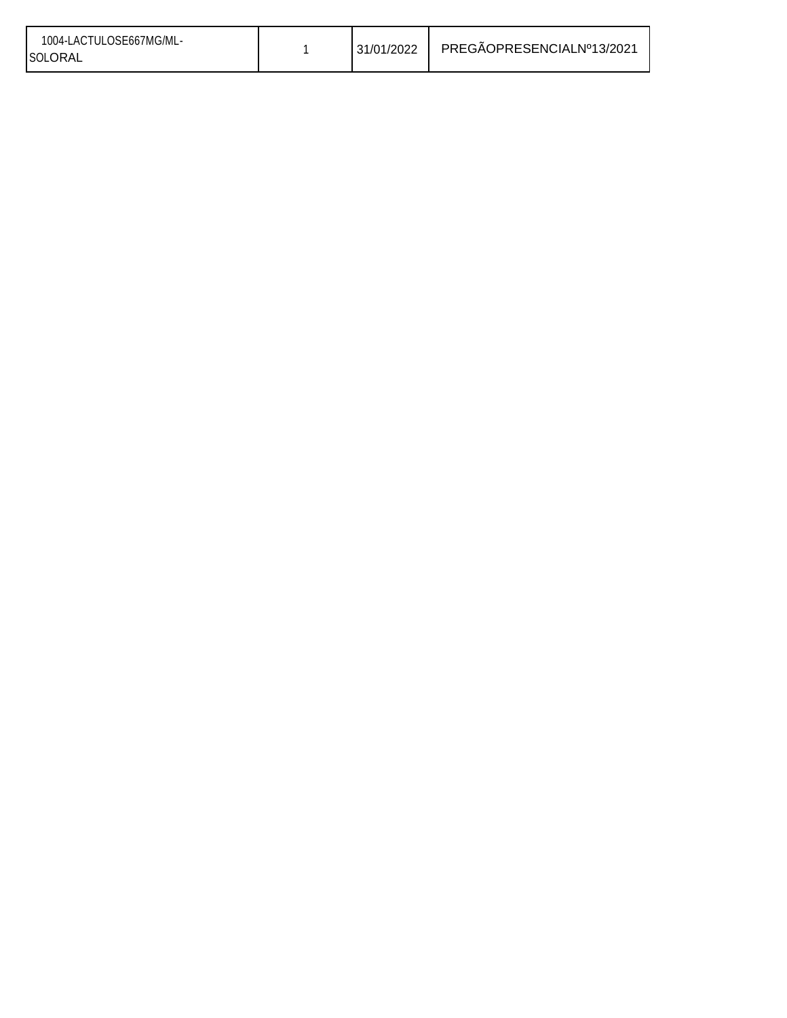| 1004-LACTULOSE667MG/ML-<br>SOLORAL |  | 31/01/2022 | PREGÄOPRESENCIALNº13/2021 |
|------------------------------------|--|------------|---------------------------|
|------------------------------------|--|------------|---------------------------|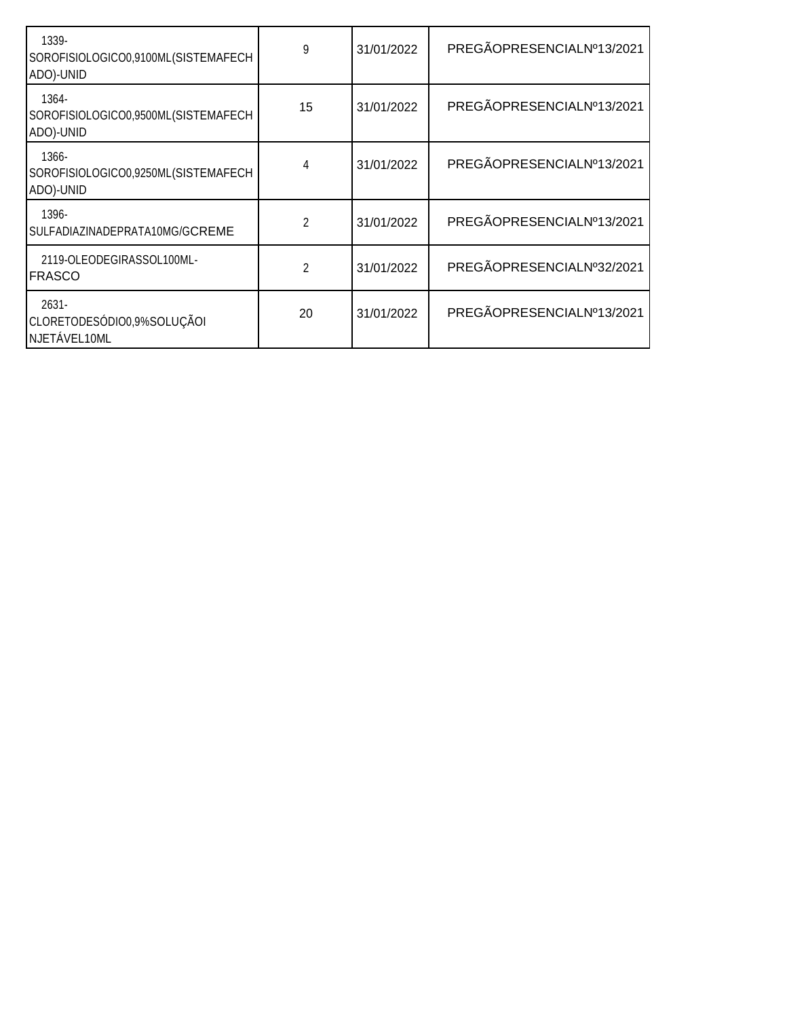| 1339-<br>SOROFISIOLOGICO0,9100ML(SISTEMAFECH<br>ADO)-UNID | 9  | 31/01/2022 | PREGÃOPRESENCIALNº13/2021 |
|-----------------------------------------------------------|----|------------|---------------------------|
| 1364-<br>SOROFISIOLOGICO0,9500ML(SISTEMAFECH<br>ADO)-UNID | 15 | 31/01/2022 | PREGÃOPRESENCIALNº13/2021 |
| 1366-<br>SOROFISIOLOGICO0,9250ML(SISTEMAFECH<br>ADO)-UNID | 4  | 31/01/2022 | PREGÃOPRESENCIALNº13/2021 |
| 1396-<br>SULFADIAZINADEPRATA10MG/GCREME                   | 2  | 31/01/2022 | PREGÃOPRESENCIALNº13/2021 |
| 2119-OLEODEGIRASSOL100ML-<br><b>FRASCO</b>                | 2  | 31/01/2022 | PREGÃOPRESENCIALNº32/2021 |
| $2631 -$<br>CLORETODESÓDIO0,9%SOLUÇÃOI<br>NJETÁVEL10ML    | 20 | 31/01/2022 | PREGÃOPRESENCIALNº13/2021 |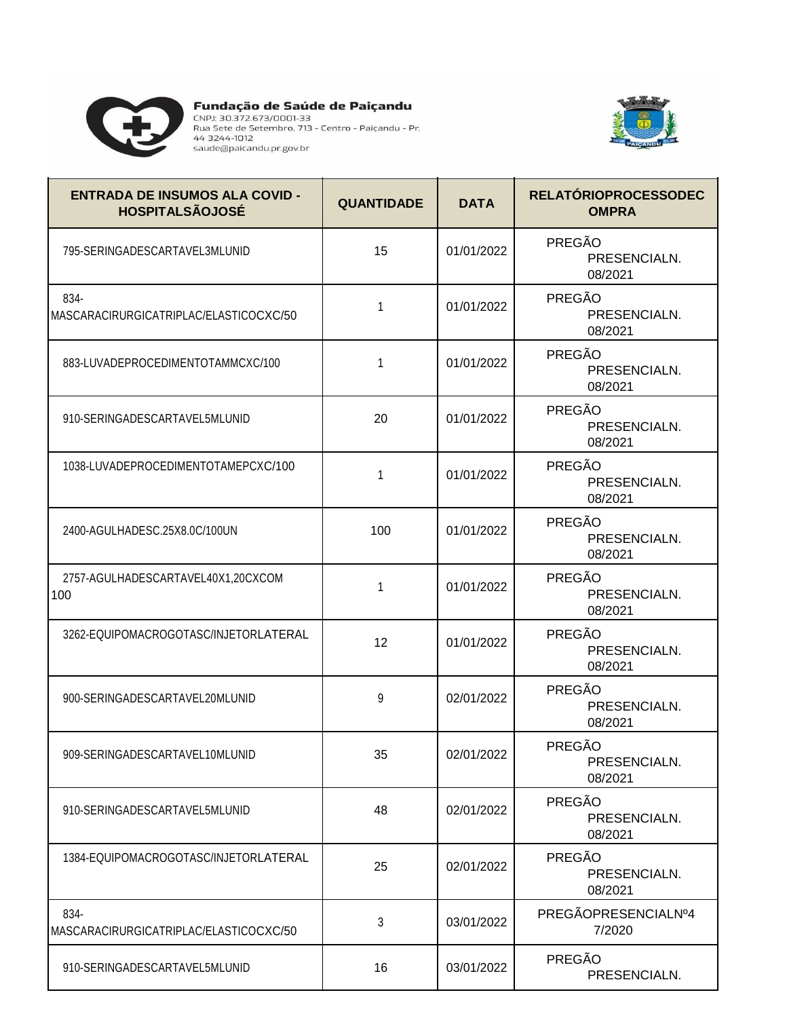

**Preferirado de Saúde de Paiçandu** 



| <b>ENTRADA DE INSUMOS ALA COVID -</b><br><b>HOSPITALSÃOJOSÉ</b> | <b>QUANTIDADE</b> | <b>DATA</b> | <b>RELATÓRIOPROCESSODEC</b><br><b>OMPRA</b> |
|-----------------------------------------------------------------|-------------------|-------------|---------------------------------------------|
| 795-SERINGADESCARTAVEL3MLUNID                                   | 15                | 01/01/2022  | PREGÃO<br>PRESENCIALN.<br>08/2021           |
| 834-<br>MASCARACIRURGICATRIPLAC/ELASTICOCXC/50                  | 1                 | 01/01/2022  | PREGÃO<br>PRESENCIALN.<br>08/2021           |
| 883-LUVADEPROCEDIMENTOTAMMCXC/100                               | 1                 | 01/01/2022  | PREGÃO<br>PRESENCIALN.<br>08/2021           |
| 910-SERINGADESCARTAVEL5MLUNID                                   | 20                | 01/01/2022  | PREGÃO<br>PRESENCIALN.<br>08/2021           |
| 1038-LUVADEPROCEDIMENTOTAMEPCXC/100                             | 1                 | 01/01/2022  | PREGÃO<br>PRESENCIALN.<br>08/2021           |
| 2400-AGULHADESC.25X8.0C/100UN                                   | 100               | 01/01/2022  | PREGÃO<br>PRESENCIALN.<br>08/2021           |
| 2757-AGULHADESCARTAVEL40X1,20CXCOM<br>100                       | 1                 | 01/01/2022  | PREGÃO<br>PRESENCIALN.<br>08/2021           |
| 3262-EQUIPOMACROGOTASC/INJETORLATERAL                           | 12                | 01/01/2022  | PREGÃO<br>PRESENCIALN.<br>08/2021           |
| 900-SERINGADESCARTAVEL20MLUNID                                  | 9                 | 02/01/2022  | PREGÃO<br>PRESENCIALN.<br>08/2021           |
| 909-SERINGADESCARTAVEL10MLUNID                                  | 35                | 02/01/2022  | <b>PREGÃO</b><br>PRESENCIALN.<br>08/2021    |
| 910-SERINGADESCARTAVEL5MLUNID                                   | 48                | 02/01/2022  | PREGÃO<br>PRESENCIALN.<br>08/2021           |
| 1384-EQUIPOMACROGOTASC/INJETORLATERAL                           | 25                | 02/01/2022  | PREGÃO<br>PRESENCIALN.<br>08/2021           |
| 834-<br>MASCARACIRURGICATRIPLAC/ELASTICOCXC/50                  | 3                 | 03/01/2022  | PREGÃOPRESENCIALNº4<br>7/2020               |
| 910-SERINGADESCARTAVEL5MLUNID                                   | 16                | 03/01/2022  | PREGÃO<br>PRESENCIALN.                      |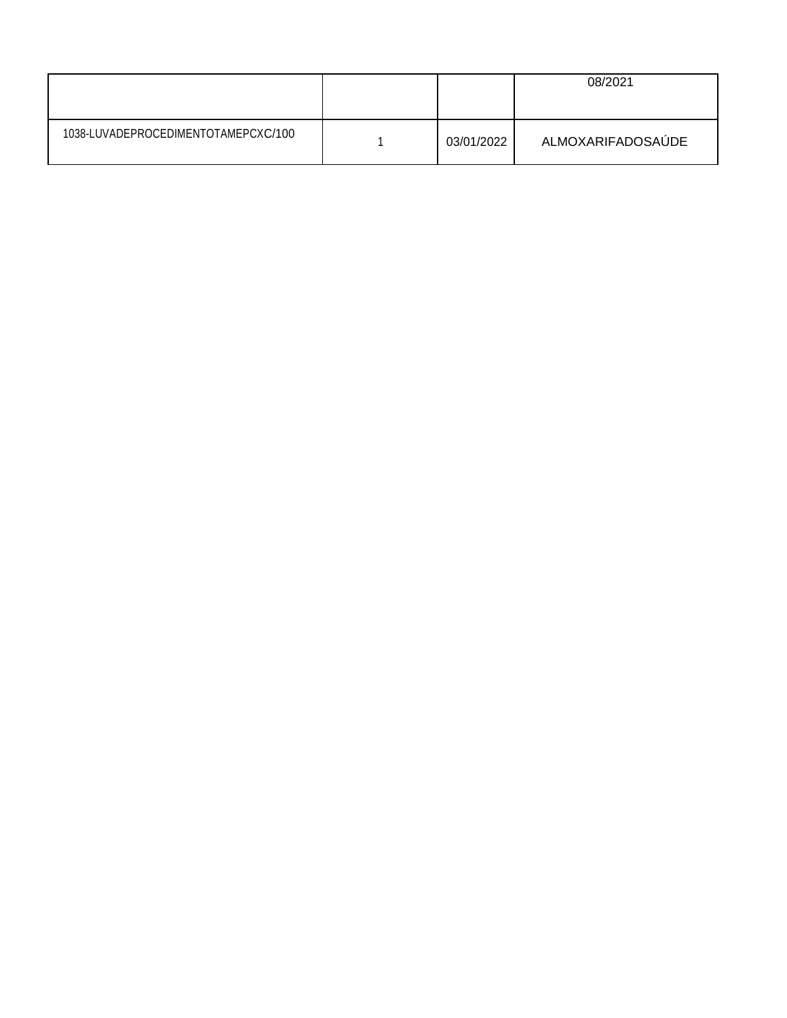|                                     |            | 08/2021           |
|-------------------------------------|------------|-------------------|
| 1038-LUVADEPROCEDIMENTOTAMEPCXC/100 | 03/01/2022 | ALMOXARIFADOSAÚDE |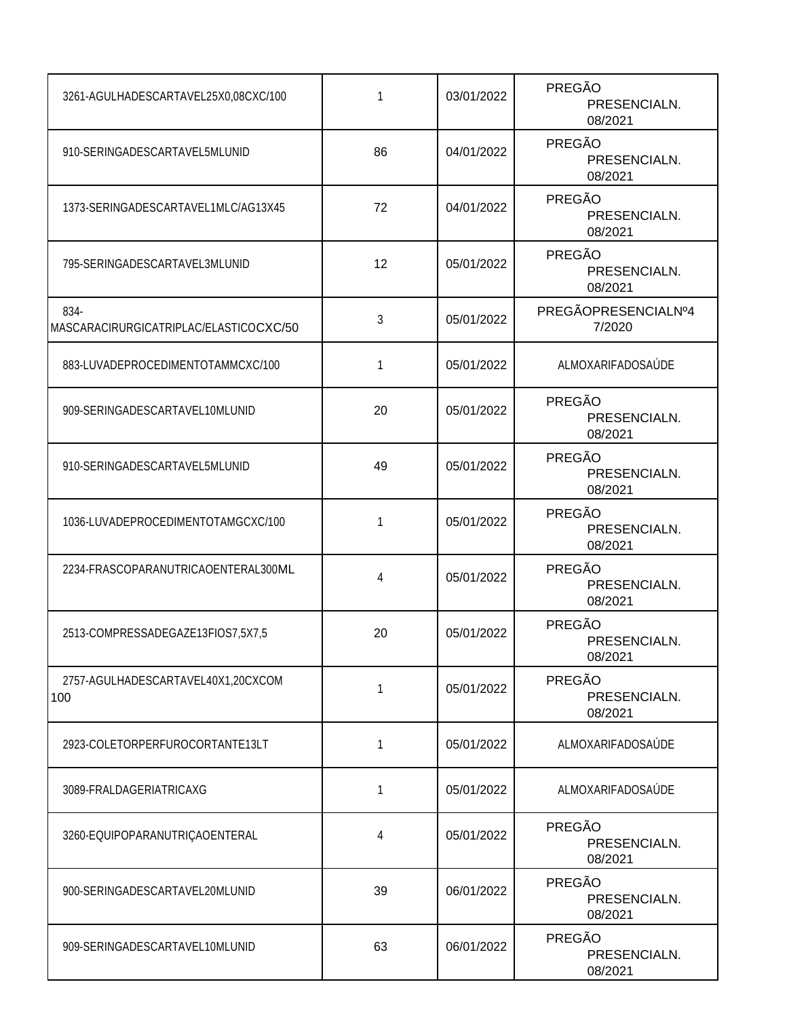| 3261-AGULHADESCARTAVEL25X0,08CXC/100           | 1  | 03/01/2022 | PREGÃO<br>PRESENCIALN.<br>08/2021 |
|------------------------------------------------|----|------------|-----------------------------------|
| 910-SERINGADESCARTAVEL5MLUNID                  | 86 | 04/01/2022 | PREGÃO<br>PRESENCIALN.<br>08/2021 |
| 1373-SERINGADESCARTAVEL1MLC/AG13X45            | 72 | 04/01/2022 | PREGÃO<br>PRESENCIALN.<br>08/2021 |
| 795-SERINGADESCARTAVEL3MLUNID                  | 12 | 05/01/2022 | PREGÃO<br>PRESENCIALN.<br>08/2021 |
| 834-<br>MASCARACIRURGICATRIPLAC/ELASTICOCXC/50 | 3  | 05/01/2022 | PREGÃOPRESENCIALNº4<br>7/2020     |
| 883-LUVADEPROCEDIMENTOTAMMCXC/100              | 1  | 05/01/2022 | ALMOXARIFADOSAÚDE                 |
| 909-SERINGADESCARTAVEL10MLUNID                 | 20 | 05/01/2022 | PREGÃO<br>PRESENCIALN.<br>08/2021 |
| 910-SERINGADESCARTAVEL5MLUNID                  | 49 | 05/01/2022 | PREGÃO<br>PRESENCIALN.<br>08/2021 |
| 1036-LUVADEPROCEDIMENTOTAMGCXC/100             | 1  | 05/01/2022 | PREGÃO<br>PRESENCIALN.<br>08/2021 |
| 2234-FRASCOPARANUTRICAOENTERAL300ML            | 4  | 05/01/2022 | PREGÃO<br>PRESENCIALN.<br>08/2021 |
| 2513-COMPRESSADEGAZE13FIOS7,5X7,5              | 20 | 05/01/2022 | PREGÃO<br>PRESENCIALN.<br>08/2021 |
| 2757-AGULHADESCARTAVEL40X1,20CXCOM<br>100      | 1  | 05/01/2022 | PREGÃO<br>PRESENCIALN.<br>08/2021 |
| 2923-COLETORPERFUROCORTANTE13LT                | 1  | 05/01/2022 | ALMOXARIFADOSAÚDE                 |
| 3089-FRALDAGERIATRICAXG                        | 1  | 05/01/2022 | ALMOXARIFADOSAÚDE                 |
| 3260-EQUIPOPARANUTRIÇAOENTERAL                 | 4  | 05/01/2022 | PREGÃO<br>PRESENCIALN.<br>08/2021 |
| 900-SERINGADESCARTAVEL20MLUNID                 | 39 | 06/01/2022 | PREGÃO<br>PRESENCIALN.<br>08/2021 |
| 909-SERINGADESCARTAVEL10MLUNID                 | 63 | 06/01/2022 | PREGÃO<br>PRESENCIALN.<br>08/2021 |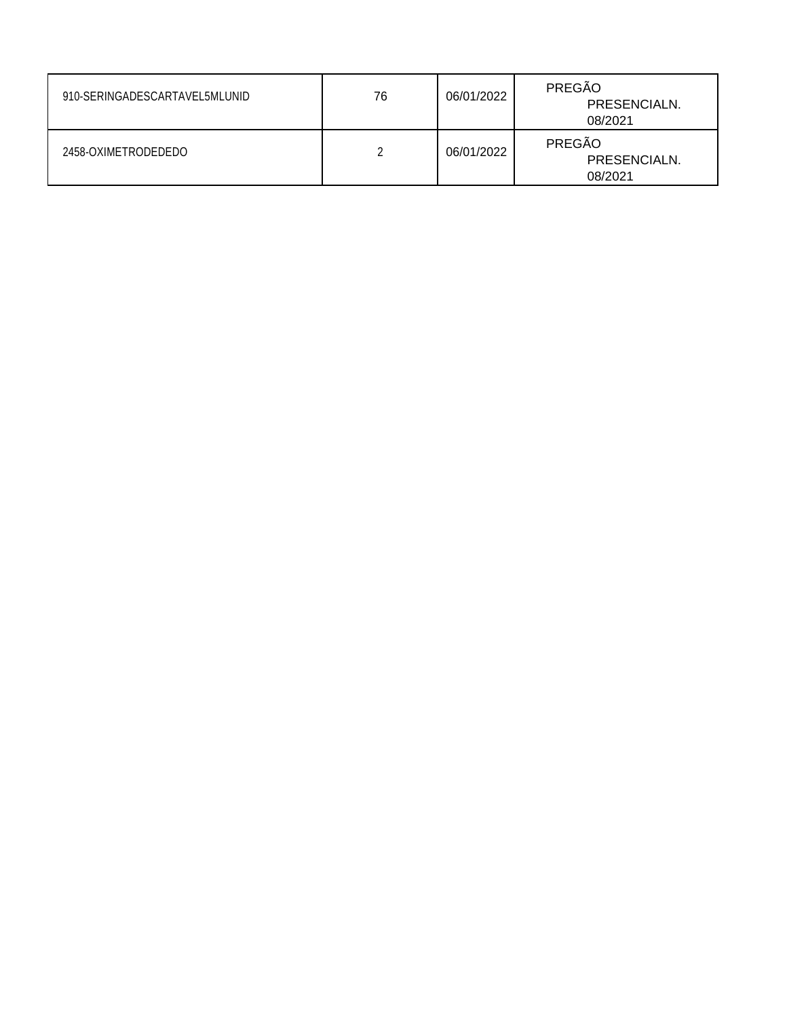| 910-SERINGADESCARTAVEL5MLUNID | 76 | 06/01/2022 | PREGÃO<br>PRESENCIALN.<br>08/2021 |
|-------------------------------|----|------------|-----------------------------------|
| 2458-OXIMETRODEDEDO           |    | 06/01/2022 | PREGÃO<br>PRESENCIALN.<br>08/2021 |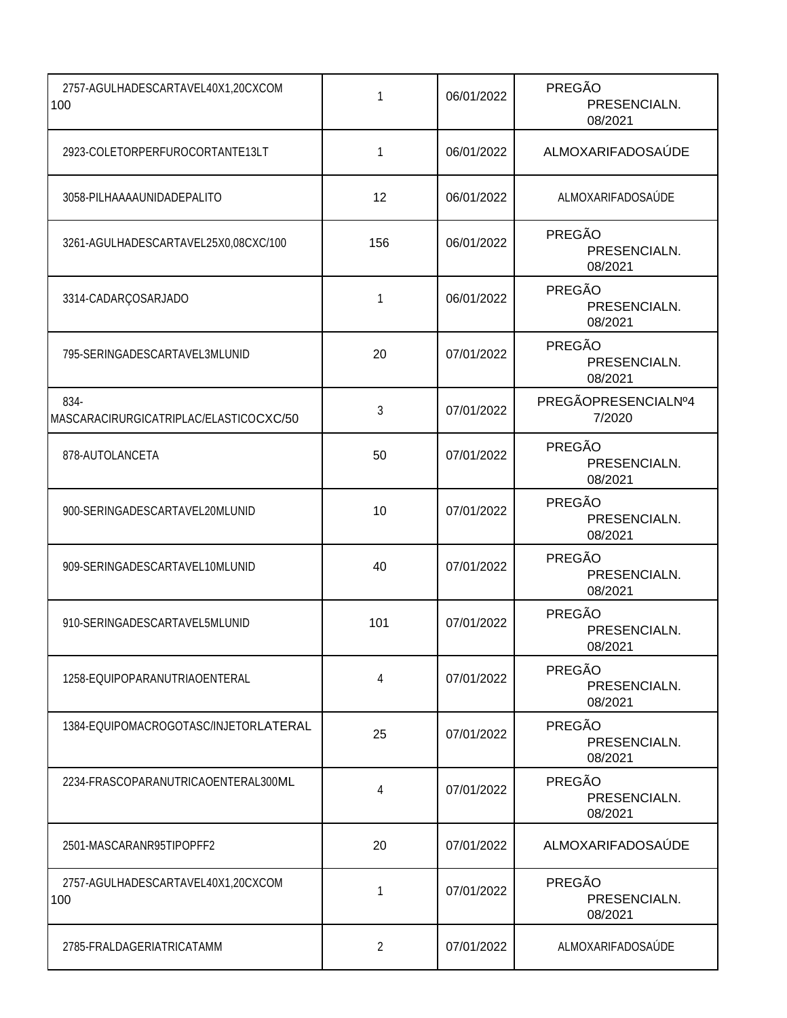| 2757-AGULHADESCARTAVEL40X1,20CXCOM<br>100      | 1   | 06/01/2022 | PREGÃO<br>PRESENCIALN.<br>08/2021 |
|------------------------------------------------|-----|------------|-----------------------------------|
| 2923-COLETORPERFUROCORTANTE13LT                | 1   | 06/01/2022 | ALMOXARIFADOSAÚDE                 |
| 3058-PILHAAAAUNIDADEPALITO                     | 12  | 06/01/2022 | ALMOXARIFADOSAÚDE                 |
| 3261-AGULHADESCARTAVEL25X0,08CXC/100           | 156 | 06/01/2022 | PREGÃO<br>PRESENCIALN.<br>08/2021 |
| 3314-CADARÇOSARJADO                            | 1   | 06/01/2022 | PREGÃO<br>PRESENCIALN.<br>08/2021 |
| 795-SERINGADESCARTAVEL3MLUNID                  | 20  | 07/01/2022 | PREGÃO<br>PRESENCIALN.<br>08/2021 |
| 834-<br>MASCARACIRURGICATRIPLAC/ELASTICOCXC/50 | 3   | 07/01/2022 | PREGÃOPRESENCIALNº4<br>7/2020     |
| 878-AUTOLANCETA                                | 50  | 07/01/2022 | PREGÃO<br>PRESENCIALN.<br>08/2021 |
| 900-SERINGADESCARTAVEL20MLUNID                 | 10  | 07/01/2022 | PREGÃO<br>PRESENCIALN.<br>08/2021 |
| 909-SERINGADESCARTAVEL10MLUNID                 | 40  | 07/01/2022 | PREGÃO<br>PRESENCIALN.<br>08/2021 |
| 910-SERINGADESCARTAVEL5MLUNID                  | 101 | 07/01/2022 | PREGÃO<br>PRESENCIALN.<br>08/2021 |
| 1258-EQUIPOPARANUTRIAOENTERAL                  | 4   | 07/01/2022 | PREGÃO<br>PRESENCIALN.<br>08/2021 |
| 1384-EQUIPOMACROGOTASC/INJETORLATERAL          | 25  | 07/01/2022 | PREGÃO<br>PRESENCIALN.<br>08/2021 |
| 2234-FRASCOPARANUTRICAOENTERAL300ML            | 4   | 07/01/2022 | PREGÃO<br>PRESENCIALN.<br>08/2021 |
| 2501-MASCARANR95TIPOPFF2                       | 20  | 07/01/2022 | ALMOXARIFADOSAÚDE                 |
| 2757-AGULHADESCARTAVEL40X1,20CXCOM<br>100      | 1   | 07/01/2022 | PREGÃO<br>PRESENCIALN.<br>08/2021 |
| 2785-FRALDAGERIATRICATAMM                      | 2   | 07/01/2022 | ALMOXARIFADOSAÚDE                 |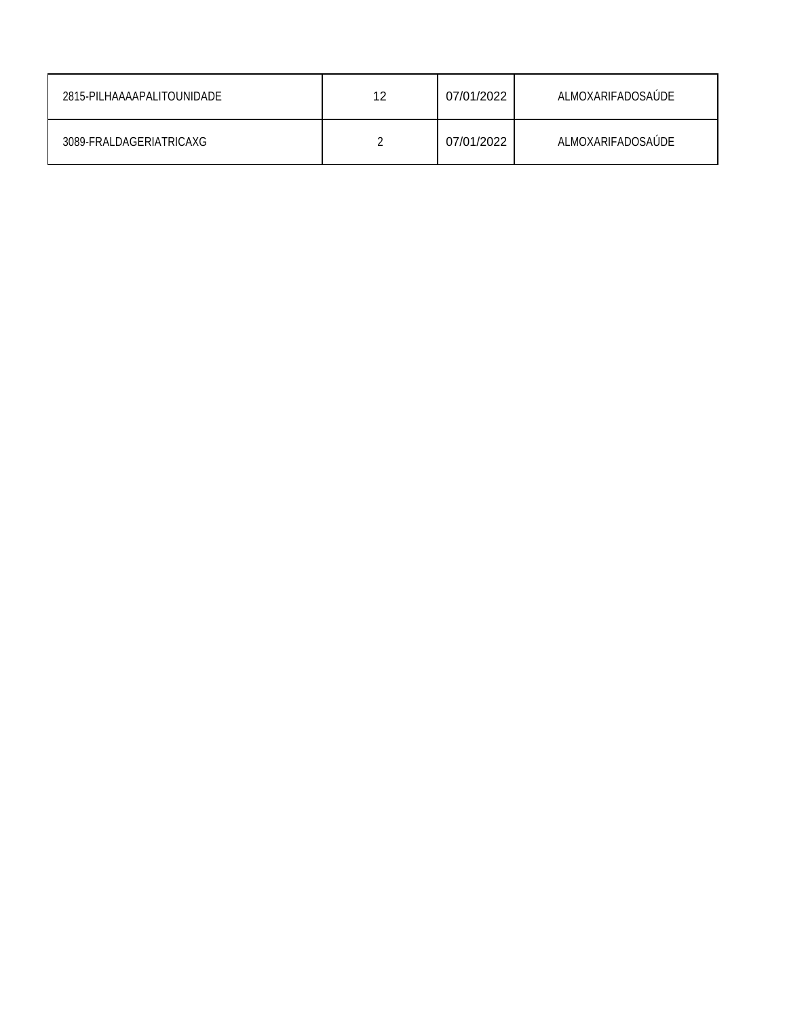| 2815-PILHAAAAPALITOUNIDADE | 12 | 07/01/2022 | ALMOXARIFADOSAUDE |
|----------------------------|----|------------|-------------------|
| 3089-FRALDAGERIATRICAXG    |    | 07/01/2022 | ALMOXARIFADOSAUDE |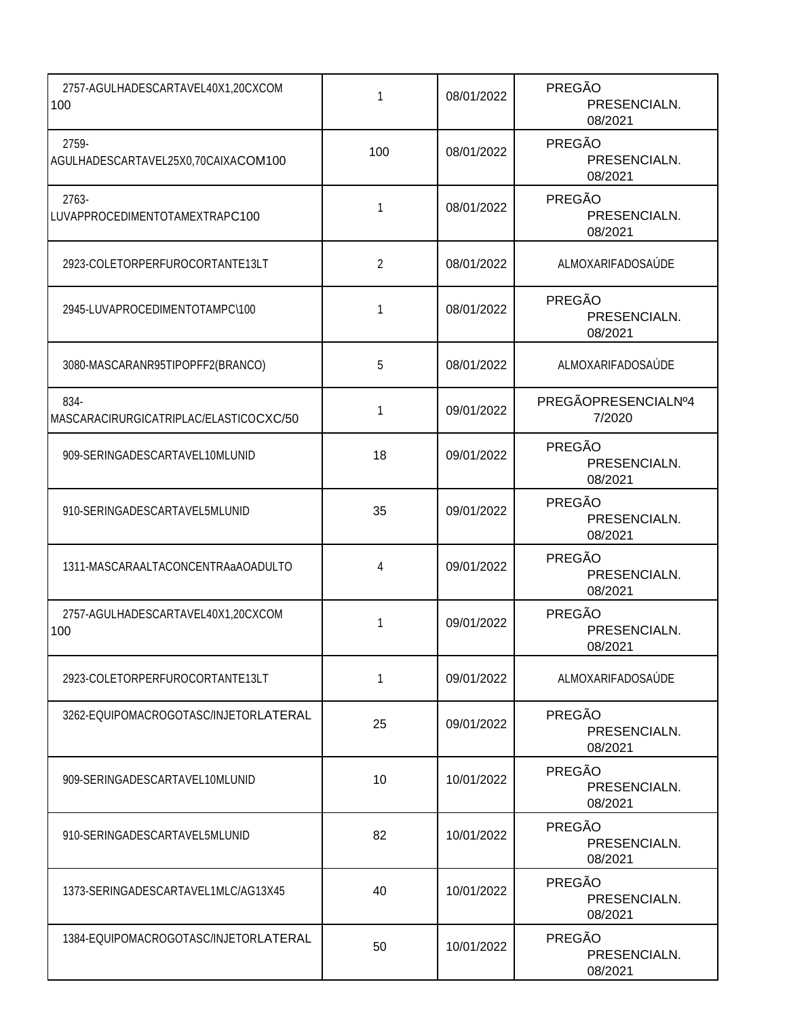| 2757-AGULHADESCARTAVEL40X1,20CXCOM<br>100      | 1   | 08/01/2022 | PREGÃO<br>PRESENCIALN.<br>08/2021        |
|------------------------------------------------|-----|------------|------------------------------------------|
| 2759-<br>AGULHADESCARTAVEL25X0,70CAIXACOM100   | 100 | 08/01/2022 | PREGÃO<br>PRESENCIALN.<br>08/2021        |
| 2763-<br>LUVAPPROCEDIMENTOTAMEXTRAPC100        | 1   | 08/01/2022 | PREGÃO<br>PRESENCIALN.<br>08/2021        |
| 2923-COLETORPERFUROCORTANTE13LT                | 2   | 08/01/2022 | ALMOXARIFADOSAÚDE                        |
| 2945-LUVAPROCEDIMENTOTAMPC\100                 | 1   | 08/01/2022 | PREGÃO<br>PRESENCIALN.<br>08/2021        |
| 3080-MASCARANR95TIPOPFF2(BRANCO)               | 5   | 08/01/2022 | ALMOXARIFADOSAÚDE                        |
| 834-<br>MASCARACIRURGICATRIPLAC/ELASTICOCXC/50 | 1   | 09/01/2022 | PREGÃOPRESENCIALNº4<br>7/2020            |
| 909-SERINGADESCARTAVEL10MLUNID                 | 18  | 09/01/2022 | PREGÃO<br>PRESENCIALN.<br>08/2021        |
| 910-SERINGADESCARTAVEL5MLUNID                  | 35  | 09/01/2022 | PREGÃO<br>PRESENCIALN.<br>08/2021        |
| 1311-MASCARAALTACONCENTRAaAOADULTO             | 4   | 09/01/2022 | PREGÃO<br>PRESENCIALN.<br>08/2021        |
| 2757-AGULHADESCARTAVEL40X1,20CXCOM<br>100      | 1   | 09/01/2022 | PREGÃO<br>PRESENCIALN.<br>08/2021        |
| 2923-COLETORPERFUROCORTANTE13LT                | 1   | 09/01/2022 | ALMOXARIFADOSAÚDE                        |
| 3262-EQUIPOMACROGOTASC/INJETORLATERAL          | 25  | 09/01/2022 | PREGÃO<br>PRESENCIALN.<br>08/2021        |
| 909-SERINGADESCARTAVEL10MLUNID                 | 10  | 10/01/2022 | <b>PREGÃO</b><br>PRESENCIALN.<br>08/2021 |
| 910-SERINGADESCARTAVEL5MLUNID                  | 82  | 10/01/2022 | PREGÃO<br>PRESENCIALN.<br>08/2021        |
| 1373-SERINGADESCARTAVEL1MLC/AG13X45            | 40  | 10/01/2022 | <b>PREGÃO</b><br>PRESENCIALN.<br>08/2021 |
| 1384-EQUIPOMACROGOTASC/INJETORLATERAL          | 50  | 10/01/2022 | PREGÃO<br>PRESENCIALN.<br>08/2021        |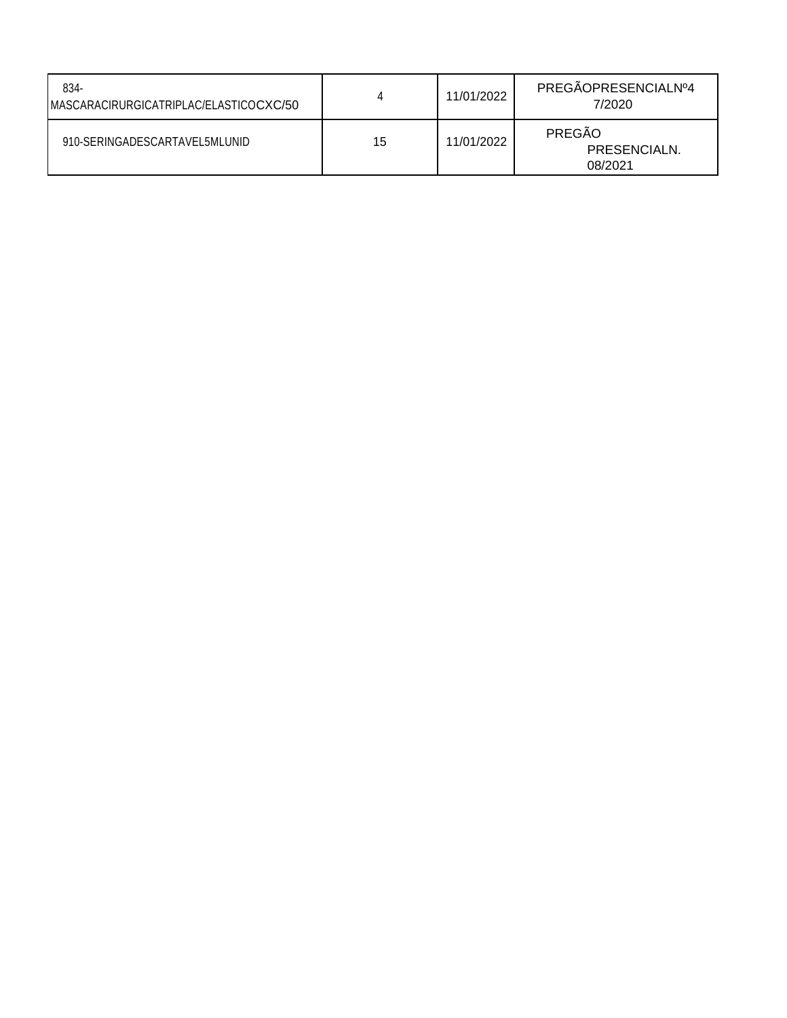| 834-<br>MASCARACIRURGICATRIPLAC/ELASTICOCXC/50 | 4  | 11/01/2022 | PREGÃOPRESENCIALNº4<br>7/2020     |
|------------------------------------------------|----|------------|-----------------------------------|
| 910-SERINGADESCARTAVEL5MLUNID                  | 15 | 11/01/2022 | PREGÃO<br>PRESENCIALN.<br>08/2021 |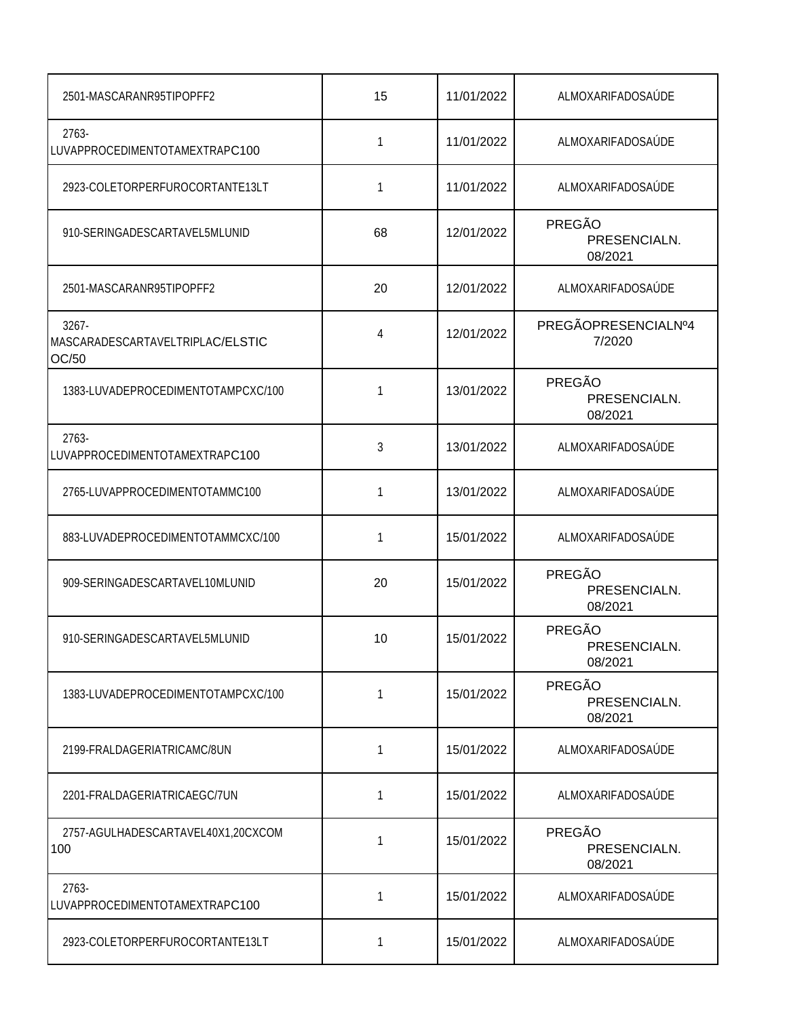| 2501-MASCARANR95TIPOPFF2                              | 15 | 11/01/2022 | ALMOXARIFADOSAÚDE                 |
|-------------------------------------------------------|----|------------|-----------------------------------|
| 2763-<br>LUVAPPROCEDIMENTOTAMEXTRAPC100               | 1  | 11/01/2022 | ALMOXARIFADOSAÚDE                 |
| 2923-COLETORPERFUROCORTANTE13LT                       | 1  | 11/01/2022 | ALMOXARIFADOSAÚDE                 |
| 910-SERINGADESCARTAVEL5MLUNID                         | 68 | 12/01/2022 | PREGÃO<br>PRESENCIALN.<br>08/2021 |
| 2501-MASCARANR95TIPOPFF2                              | 20 | 12/01/2022 | ALMOXARIFADOSAÚDE                 |
| $3267 -$<br>MASCARADESCARTAVELTRIPLAC/ELSTIC<br>OC/50 | 4  | 12/01/2022 | PREGÃOPRESENCIALNº4<br>7/2020     |
| 1383-LUVADEPROCEDIMENTOTAMPCXC/100                    | 1  | 13/01/2022 | PREGÃO<br>PRESENCIALN.<br>08/2021 |
| 2763-<br>LUVAPPROCEDIMENTOTAMEXTRAPC100               | 3  | 13/01/2022 | ALMOXARIFADOSAÚDE                 |
| 2765-LUVAPPROCEDIMENTOTAMMC100                        | 1  | 13/01/2022 | ALMOXARIFADOSAÚDE                 |
| 883-LUVADEPROCEDIMENTOTAMMCXC/100                     | 1  | 15/01/2022 | ALMOXARIFADOSAÚDE                 |
| 909-SERINGADESCARTAVEL10MLUNID                        | 20 | 15/01/2022 | PREGÃO<br>PRESENCIALN.<br>08/2021 |
| 910-SERINGADESCARTAVEL5MLUNID                         | 10 | 15/01/2022 | PREGÃO<br>PRESENCIALN.<br>08/2021 |
| 1383-LUVADEPROCEDIMENTOTAMPCXC/100                    | 1  | 15/01/2022 | PREGÃO<br>PRESENCIALN.<br>08/2021 |
| 2199-FRALDAGERIATRICAMC/8UN                           | 1  | 15/01/2022 | ALMOXARIFADOSAÚDE                 |
| 2201-FRALDAGERIATRICAEGC/7UN                          | 1  | 15/01/2022 | ALMOXARIFADOSAÚDE                 |
| 2757-AGULHADESCARTAVEL40X1,20CXCOM<br>100             | 1  | 15/01/2022 | PREGÃO<br>PRESENCIALN.<br>08/2021 |
| 2763-<br>LUVAPPROCEDIMENTOTAMEXTRAPC100               | 1  | 15/01/2022 | ALMOXARIFADOSAÚDE                 |
| 2923-COLETORPERFUROCORTANTE13LT                       | 1  | 15/01/2022 | ALMOXARIFADOSAÚDE                 |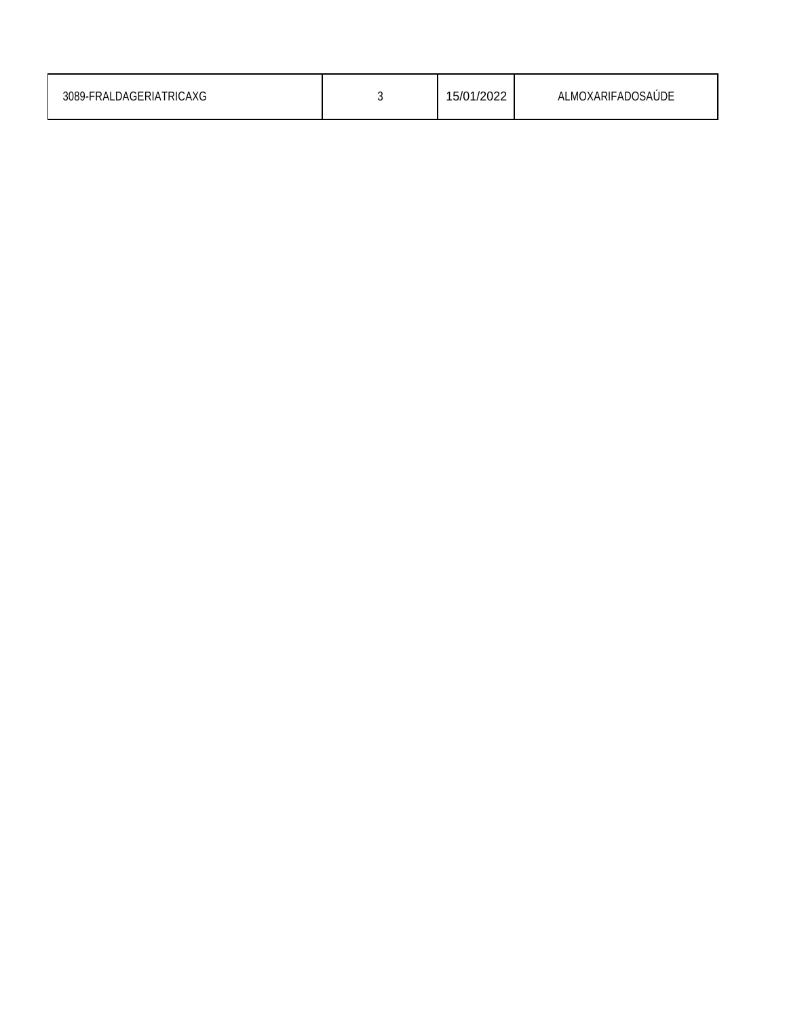| 3089-FRALDAGERIATRICAXG |  | 15/01/2022 | ALMOXARIFADOSAÚDE |
|-------------------------|--|------------|-------------------|
|-------------------------|--|------------|-------------------|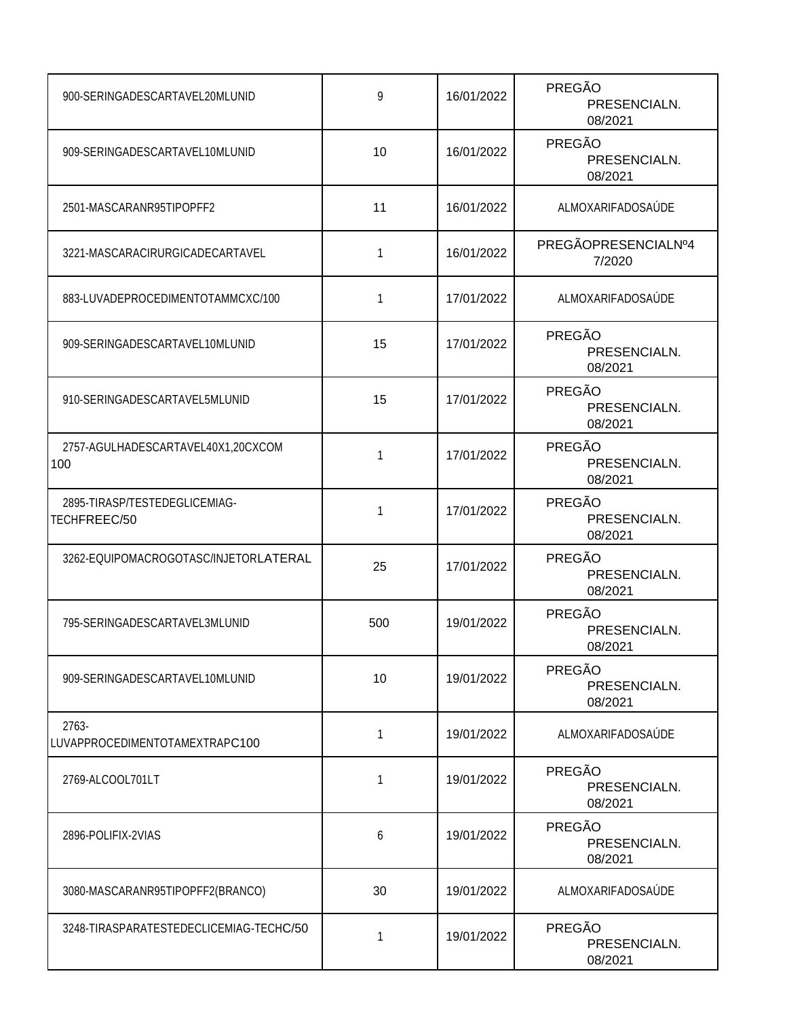| 900-SERINGADESCARTAVEL20MLUNID                | 9   | 16/01/2022 | PREGÃO<br>PRESENCIALN.<br>08/2021        |
|-----------------------------------------------|-----|------------|------------------------------------------|
| 909-SERINGADESCARTAVEL10MLUNID                | 10  | 16/01/2022 | PREGÃO<br>PRESENCIALN.<br>08/2021        |
| 2501-MASCARANR95TIPOPFF2                      | 11  | 16/01/2022 | ALMOXARIFADOSAÚDE                        |
| 3221-MASCARACIRURGICADECARTAVEL               | 1   | 16/01/2022 | PREGÃOPRESENCIALNº4<br>7/2020            |
| 883-LUVADEPROCEDIMENTOTAMMCXC/100             | 1   | 17/01/2022 | ALMOXARIFADOSAÚDE                        |
| 909-SERINGADESCARTAVEL10MLUNID                | 15  | 17/01/2022 | PREGÃO<br>PRESENCIALN.<br>08/2021        |
| 910-SERINGADESCARTAVEL5MLUNID                 | 15  | 17/01/2022 | PREGÃO<br>PRESENCIALN.<br>08/2021        |
| 2757-AGULHADESCARTAVEL40X1,20CXCOM<br>100     | 1   | 17/01/2022 | PREGÃO<br>PRESENCIALN.<br>08/2021        |
| 2895-TIRASP/TESTEDEGLICEMIAG-<br>TECHFREEC/50 | 1   | 17/01/2022 | PREGÃO<br>PRESENCIALN.<br>08/2021        |
| 3262-EQUIPOMACROGOTASC/INJETORLATERAL         | 25  | 17/01/2022 | <b>PREGÃO</b><br>PRESENCIALN.<br>08/2021 |
| 795-SERINGADESCARTAVEL3MLUNID                 | 500 | 19/01/2022 | <b>PREGÃO</b><br>PRESENCIALN.<br>08/2021 |
| 909-SERINGADESCARTAVEL10MLUNID                | 10  | 19/01/2022 | PREGÃO<br>PRESENCIALN.<br>08/2021        |
| 2763-<br>LUVAPPROCEDIMENTOTAMEXTRAPC100       | 1   | 19/01/2022 | ALMOXARIFADOSAÚDE                        |
| 2769-ALCOOL701LT                              | 1   | 19/01/2022 | PREGÃO<br>PRESENCIALN.<br>08/2021        |
| 2896-POLIFIX-2VIAS                            | 6   | 19/01/2022 | PREGÃO<br>PRESENCIALN.<br>08/2021        |
| 3080-MASCARANR95TIPOPFF2(BRANCO)              | 30  | 19/01/2022 | ALMOXARIFADOSAÚDE                        |
| 3248-TIRASPARATESTEDECLICEMIAG-TECHC/50       | 1   | 19/01/2022 | PREGÃO<br>PRESENCIALN.<br>08/2021        |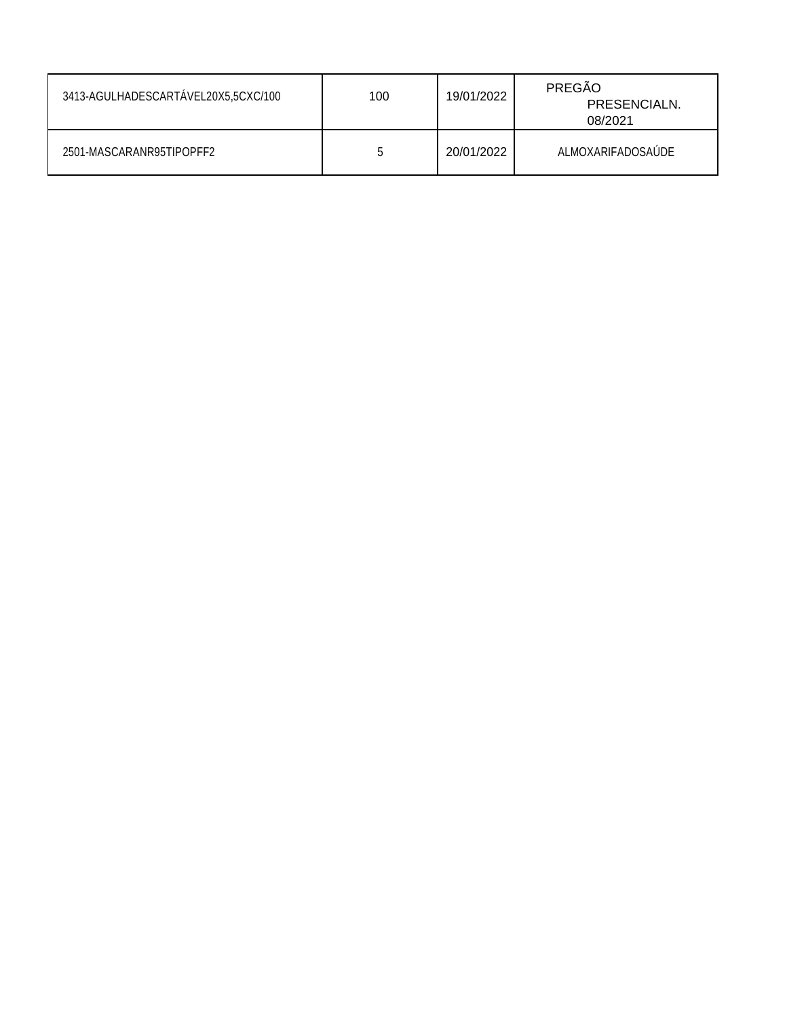| 3413-AGULHADESCARTÁVEL20X5,5CXC/100 | 100 | 19/01/2022 | PREGÃO<br>PRESENCIALN.<br>08/2021 |
|-------------------------------------|-----|------------|-----------------------------------|
| 2501-MASCARANR95TIPOPFF2            |     | 20/01/2022 | ALMOXARIFADOSAUDE                 |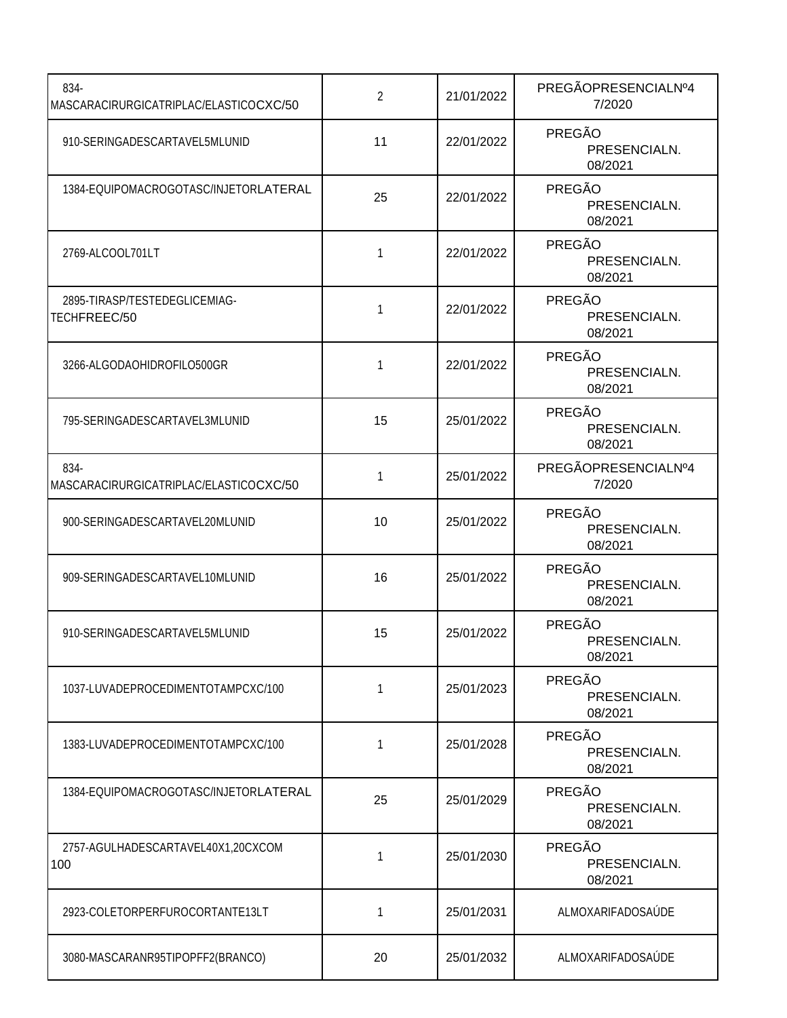| 834-<br>MASCARACIRURGICATRIPLAC/ELASTICOCXC/50 | $\overline{2}$ | 21/01/2022 | PREGÃOPRESENCIALNº4<br>7/2020     |
|------------------------------------------------|----------------|------------|-----------------------------------|
| 910-SERINGADESCARTAVEL5MLUNID                  | 11             | 22/01/2022 | PREGÃO<br>PRESENCIALN.<br>08/2021 |
| 1384-EQUIPOMACROGOTASC/INJETORLATERAL          | 25             | 22/01/2022 | PREGÃO<br>PRESENCIALN.<br>08/2021 |
| 2769-ALCOOL701LT                               | 1              | 22/01/2022 | PREGÃO<br>PRESENCIALN.<br>08/2021 |
| 2895-TIRASP/TESTEDEGLICEMIAG-<br>TECHFREEC/50  | 1              | 22/01/2022 | PREGÃO<br>PRESENCIALN.<br>08/2021 |
| 3266-ALGODAOHIDROFILO500GR                     | 1              | 22/01/2022 | PREGÃO<br>PRESENCIALN.<br>08/2021 |
| 795-SERINGADESCARTAVEL3MLUNID                  | 15             | 25/01/2022 | PREGÃO<br>PRESENCIALN.<br>08/2021 |
| 834-<br>MASCARACIRURGICATRIPLAC/ELASTICOCXC/50 | 1              | 25/01/2022 | PREGÃOPRESENCIALNº4<br>7/2020     |
| 900-SERINGADESCARTAVEL20MLUNID                 | 10             | 25/01/2022 | PREGÃO<br>PRESENCIALN.<br>08/2021 |
| 909-SERINGADESCARTAVEL10MLUNID                 | 16             | 25/01/2022 | PREGÃO<br>PRESENCIALN.<br>08/2021 |
| 910-SERINGADESCARTAVEL5MLUNID                  | 15             | 25/01/2022 | PREGÃO<br>PRESENCIALN.<br>08/2021 |
| 1037-LUVADEPROCEDIMENTOTAMPCXC/100             | 1              | 25/01/2023 | PREGÃO<br>PRESENCIALN.<br>08/2021 |
| 1383-LUVADEPROCEDIMENTOTAMPCXC/100             | 1              | 25/01/2028 | PREGÃO<br>PRESENCIALN.<br>08/2021 |
| 1384-EQUIPOMACROGOTASC/INJETORLATERAL          | 25             | 25/01/2029 | PREGÃO<br>PRESENCIALN.<br>08/2021 |
| 2757-AGULHADESCARTAVEL40X1,20CXCOM<br>100      | 1              | 25/01/2030 | PREGÃO<br>PRESENCIALN.<br>08/2021 |
| 2923-COLETORPERFUROCORTANTE13LT                | 1              | 25/01/2031 | ALMOXARIFADOSAÚDE                 |
| 3080-MASCARANR95TIPOPFF2(BRANCO)               | 20             | 25/01/2032 | ALMOXARIFADOSAÚDE                 |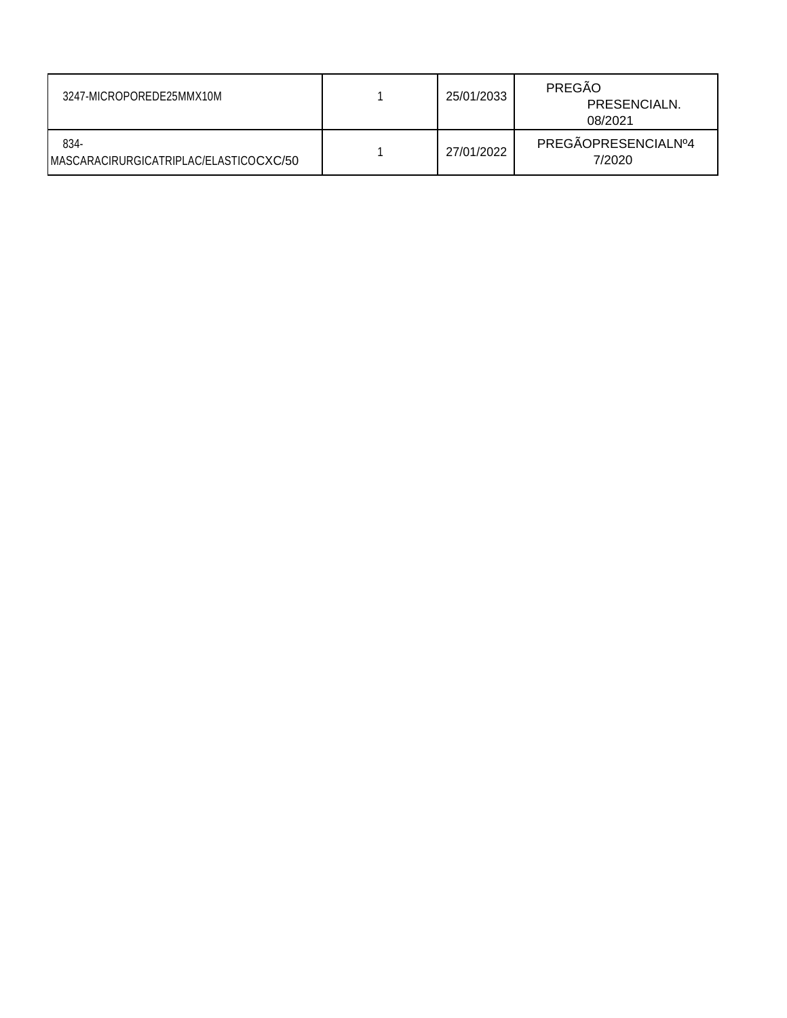| 3247-MICROPOREDE25MMX10M                        | 25/01/2033 | PREGÃO<br>PRESENCIALN.<br>08/2021 |
|-------------------------------------------------|------------|-----------------------------------|
| 834-<br>IMASCARACIRURGICATRIPLAC/ELASTICOCXC/50 | 27/01/2022 | PREGÃOPRESENCIALNº4<br>7/2020     |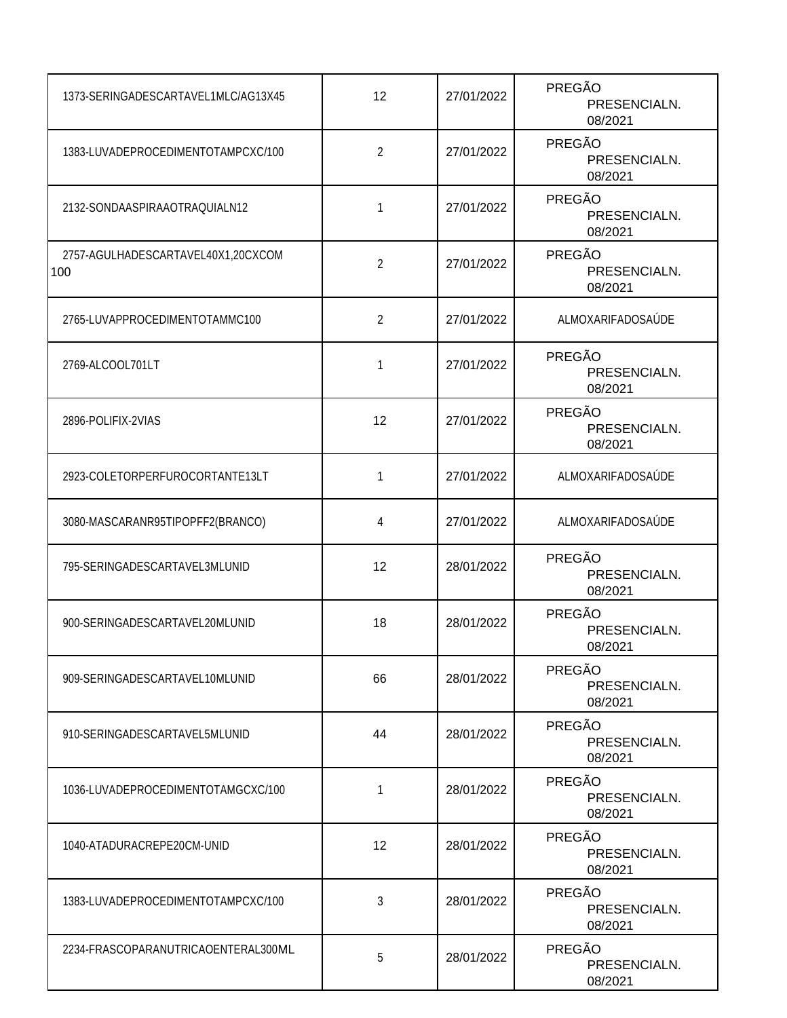| 1373-SERINGADESCARTAVEL1MLC/AG13X45       | 12             | 27/01/2022 | PREGÃO<br>PRESENCIALN.<br>08/2021        |
|-------------------------------------------|----------------|------------|------------------------------------------|
| 1383-LUVADEPROCEDIMENTOTAMPCXC/100        | $\overline{2}$ | 27/01/2022 | PREGÃO<br>PRESENCIALN.<br>08/2021        |
| 2132-SONDAASPIRAAOTRAQUIALN12             | 1              | 27/01/2022 | PREGÃO<br>PRESENCIALN.<br>08/2021        |
| 2757-AGULHADESCARTAVEL40X1,20CXCOM<br>100 | $\overline{2}$ | 27/01/2022 | <b>PREGÃO</b><br>PRESENCIALN.<br>08/2021 |
| 2765-LUVAPPROCEDIMENTOTAMMC100            | $\overline{2}$ | 27/01/2022 | ALMOXARIFADOSAÚDE                        |
| 2769-ALCOOL701LT                          | 1              | 27/01/2022 | PREGÃO<br>PRESENCIALN.<br>08/2021        |
| 2896-POLIFIX-2VIAS                        | 12             | 27/01/2022 | <b>PREGÃO</b><br>PRESENCIALN.<br>08/2021 |
| 2923-COLETORPERFUROCORTANTE13LT           | 1              | 27/01/2022 | ALMOXARIFADOSAÚDE                        |
| 3080-MASCARANR95TIPOPFF2(BRANCO)          | 4              | 27/01/2022 | ALMOXARIFADOSAÚDE                        |
| 795-SERINGADESCARTAVEL3MLUNID             | 12             | 28/01/2022 | PREGÃO<br>PRESENCIALN.<br>08/2021        |
| 900-SERINGADESCARTAVEL20MLUNID            | 18             | 28/01/2022 | PREGÃO<br>PRESENCIALN.<br>08/2021        |
| 909-SERINGADESCARTAVEL10MLUNID            | 66             | 28/01/2022 | <b>PREGÃO</b><br>PRESENCIALN.<br>08/2021 |
| 910-SERINGADESCARTAVEL5MLUNID             | 44             | 28/01/2022 | PREGÃO<br>PRESENCIALN.<br>08/2021        |
| 1036-LUVADEPROCEDIMENTOTAMGCXC/100        | 1              | 28/01/2022 | PREGÃO<br>PRESENCIALN.<br>08/2021        |
| 1040-ATADURACREPE20CM-UNID                | 12             | 28/01/2022 | <b>PREGÃO</b><br>PRESENCIALN.<br>08/2021 |
| 1383-LUVADEPROCEDIMENTOTAMPCXC/100        | 3              | 28/01/2022 | <b>PREGÃO</b><br>PRESENCIALN.<br>08/2021 |
| 2234-FRASCOPARANUTRICAOENTERAL300ML       | 5              | 28/01/2022 | PREGÃO<br>PRESENCIALN.<br>08/2021        |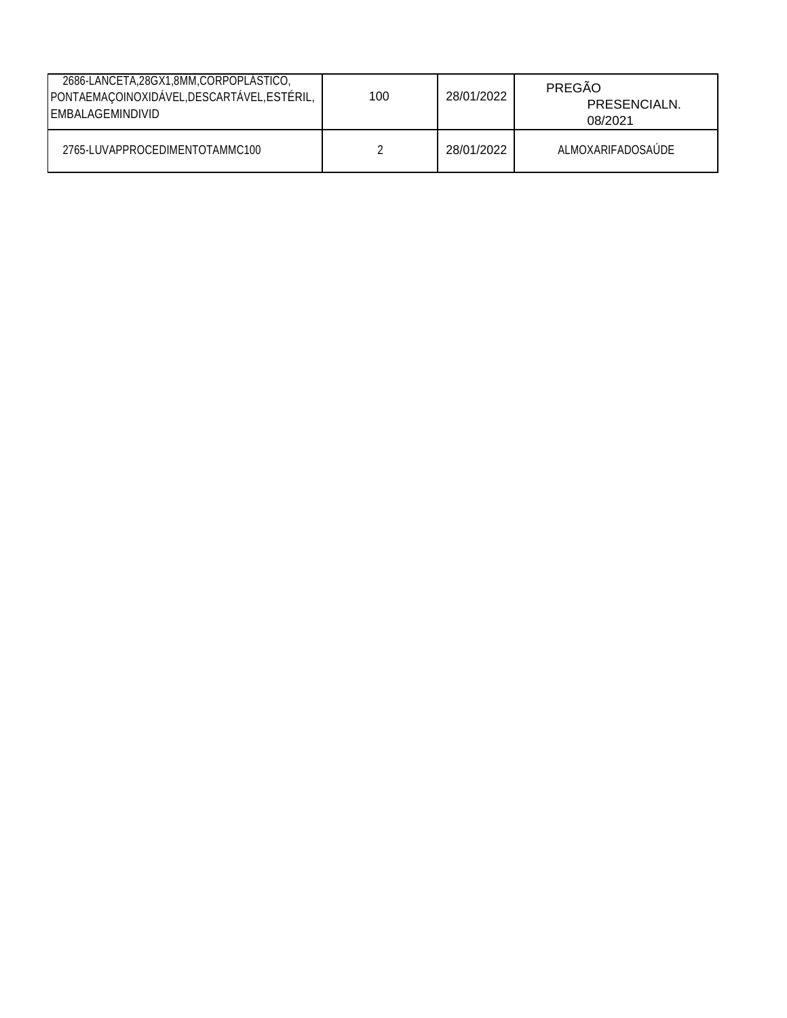| 2686-LANCETA, 28GX1, 8MM, CORPOPLASTICO,<br>PONTAEMAÇOINOXIDÁVEL, DESCARTÁVEL, ESTÉRIL,<br><b>IEMBALAGEMINDIVID</b> | 100 | 28/01/2022 | PREGÃO<br>PRESENCIALN.<br>08/2021 |
|---------------------------------------------------------------------------------------------------------------------|-----|------------|-----------------------------------|
| 2765-LUVAPPROCEDIMENTOTAMMC100                                                                                      |     | 28/01/2022 | ALMOXARIFADOSAUDE                 |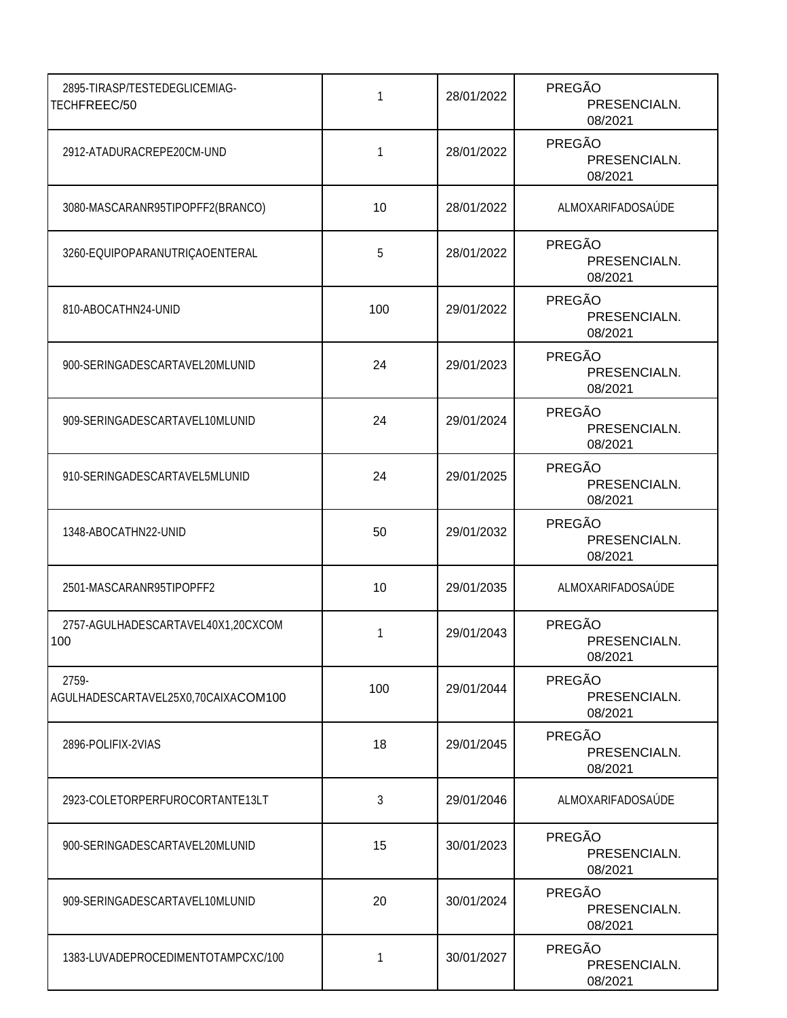| 2895-TIRASP/TESTEDEGLICEMIAG-<br>TECHFREEC/50 | 1   | 28/01/2022 | PREGÃO<br>PRESENCIALN.<br>08/2021 |
|-----------------------------------------------|-----|------------|-----------------------------------|
| 2912-ATADURACREPE20CM-UND                     | 1   | 28/01/2022 | PREGÃO<br>PRESENCIALN.<br>08/2021 |
| 3080-MASCARANR95TIPOPFF2(BRANCO)              | 10  | 28/01/2022 | ALMOXARIFADOSAÚDE                 |
| 3260-EQUIPOPARANUTRIÇAOENTERAL                | 5   | 28/01/2022 | PREGÃO<br>PRESENCIALN.<br>08/2021 |
| 810-ABOCATHN24-UNID                           | 100 | 29/01/2022 | PREGÃO<br>PRESENCIALN.<br>08/2021 |
| 900-SERINGADESCARTAVEL20MLUNID                | 24  | 29/01/2023 | PREGÃO<br>PRESENCIALN.<br>08/2021 |
| 909-SERINGADESCARTAVEL10MLUNID                | 24  | 29/01/2024 | PREGÃO<br>PRESENCIALN.<br>08/2021 |
| 910-SERINGADESCARTAVEL5MLUNID                 | 24  | 29/01/2025 | PREGÃO<br>PRESENCIALN.<br>08/2021 |
| 1348-ABOCATHN22-UNID                          | 50  | 29/01/2032 | PREGÃO<br>PRESENCIALN.<br>08/2021 |
| 2501-MASCARANR95TIPOPFF2                      | 10  | 29/01/2035 | ALMOXARIFADOSAÚDE                 |
| 2757-AGULHADESCARTAVEL40X1,20CXCOM<br>100     | 1   | 29/01/2043 | PREGÃO<br>PRESENCIALN.<br>08/2021 |
| 2759-<br>AGULHADESCARTAVEL25X0,70CAIXACOM100  | 100 | 29/01/2044 | PREGÃO<br>PRESENCIALN.<br>08/2021 |
| 2896-POLIFIX-2VIAS                            | 18  | 29/01/2045 | PREGÃO<br>PRESENCIALN.<br>08/2021 |
| 2923-COLETORPERFUROCORTANTE13LT               | 3   | 29/01/2046 | ALMOXARIFADOSAÚDE                 |
| 900-SERINGADESCARTAVEL20MLUNID                | 15  | 30/01/2023 | PREGÃO<br>PRESENCIALN.<br>08/2021 |
| 909-SERINGADESCARTAVEL10MLUNID                | 20  | 30/01/2024 | PREGÃO<br>PRESENCIALN.<br>08/2021 |
| 1383-LUVADEPROCEDIMENTOTAMPCXC/100            | 1   | 30/01/2027 | PREGÃO<br>PRESENCIALN.<br>08/2021 |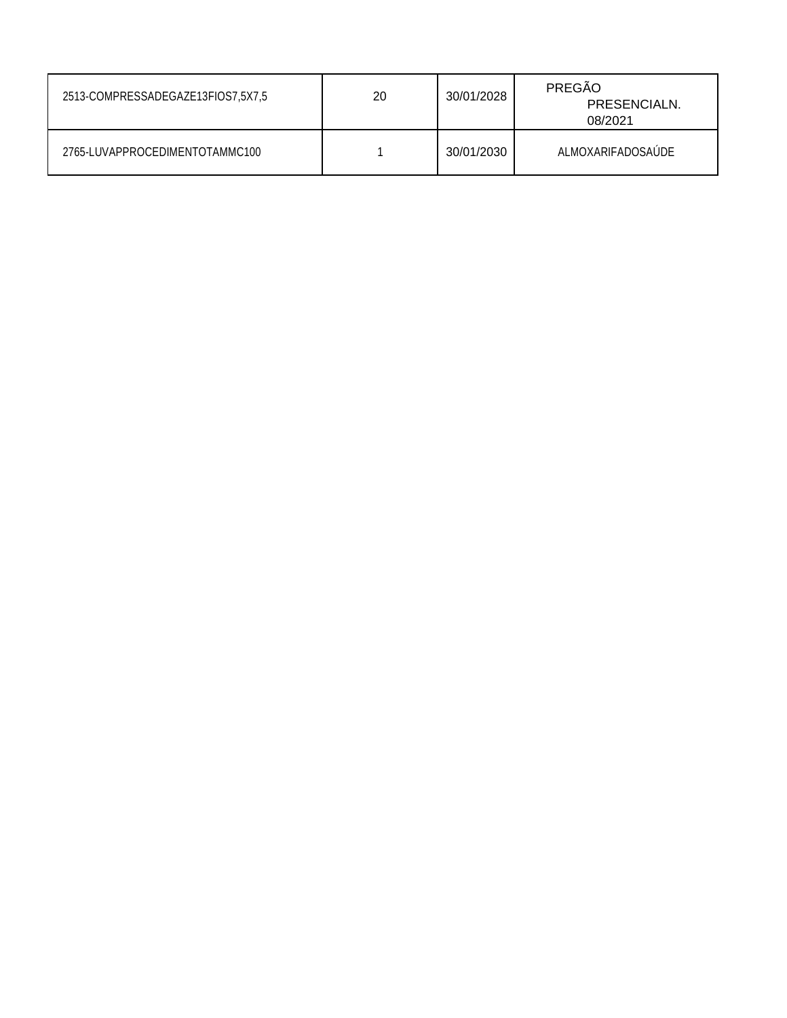| 2513-COMPRESSADEGAZE13FIOS7,5X7,5 | 20 | 30/01/2028 | PREGÃO<br>PRESENCIALN.<br>08/2021 |
|-----------------------------------|----|------------|-----------------------------------|
| 2765-LUVAPPROCEDIMENTOTAMMC100    |    | 30/01/2030 | ALMOXARIFADOSAUDE                 |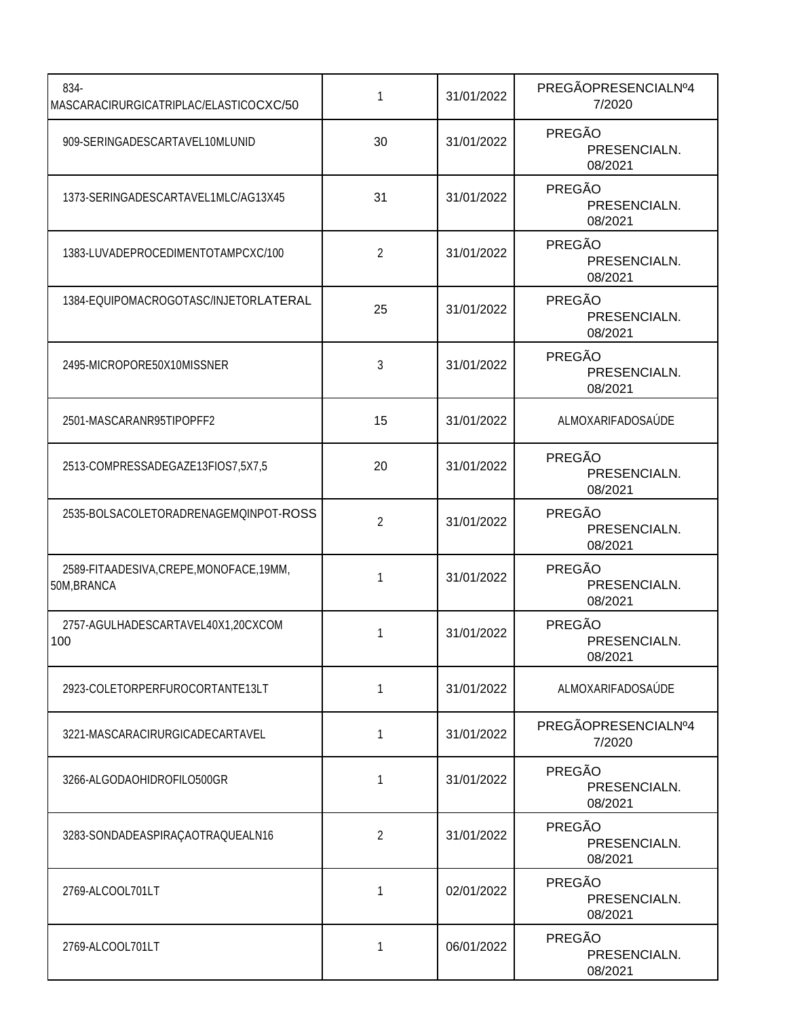| 834-<br>MASCARACIRURGICATRIPLAC/ELASTICOCXC/50          | 1              | 31/01/2022 | PREGÃOPRESENCIALNº4<br>7/2020            |
|---------------------------------------------------------|----------------|------------|------------------------------------------|
| 909-SERINGADESCARTAVEL10MLUNID                          | 30             | 31/01/2022 | PREGÃO<br>PRESENCIALN.<br>08/2021        |
| 1373-SERINGADESCARTAVEL1MLC/AG13X45                     | 31             | 31/01/2022 | PREGÃO<br>PRESENCIALN.<br>08/2021        |
| 1383-LUVADEPROCEDIMENTOTAMPCXC/100                      | 2              | 31/01/2022 | PREGÃO<br>PRESENCIALN.<br>08/2021        |
| 1384-EQUIPOMACROGOTASC/INJETORLATERAL                   | 25             | 31/01/2022 | PREGÃO<br>PRESENCIALN.<br>08/2021        |
| 2495-MICROPORE50X10MISSNER                              | 3              | 31/01/2022 | PREGÃO<br>PRESENCIALN.<br>08/2021        |
| 2501-MASCARANR95TIPOPFF2                                | 15             | 31/01/2022 | ALMOXARIFADOSAÚDE                        |
| 2513-COMPRESSADEGAZE13FIOS7,5X7,5                       | 20             | 31/01/2022 | PREGÃO<br>PRESENCIALN.<br>08/2021        |
| 2535-BOLSACOLETORADRENAGEMQINPOT-ROSS                   | $\overline{2}$ | 31/01/2022 | PREGÃO<br>PRESENCIALN.<br>08/2021        |
| 2589-FITAADESIVA, CREPE, MONOFACE, 19MM,<br>50M, BRANCA | 1              | 31/01/2022 | PREGÃO<br>PRESENCIALN.<br>08/2021        |
| 2757-AGULHADESCARTAVEL40X1,20CXCOM<br>100               | 1              | 31/01/2022 | <b>PREGÃO</b><br>PRESENCIALN.<br>08/2021 |
| 2923-COLETORPERFUROCORTANTE13LT                         | 1              | 31/01/2022 | ALMOXARIFADOSAÚDE                        |
| 3221-MASCARACIRURGICADECARTAVEL                         | 1              | 31/01/2022 | PREGÃOPRESENCIALNº4<br>7/2020            |
| 3266-ALGODAOHIDROFILO500GR                              | 1              | 31/01/2022 | PREGÃO<br>PRESENCIALN.<br>08/2021        |
| 3283-SONDADEASPIRAÇAOTRAQUEALN16                        | 2              | 31/01/2022 | PREGÃO<br>PRESENCIALN.<br>08/2021        |
| 2769-ALCOOL701LT                                        | 1              | 02/01/2022 | <b>PREGÃO</b><br>PRESENCIALN.<br>08/2021 |
| 2769-ALCOOL701LT                                        | 1              | 06/01/2022 | PREGÃO<br>PRESENCIALN.<br>08/2021        |